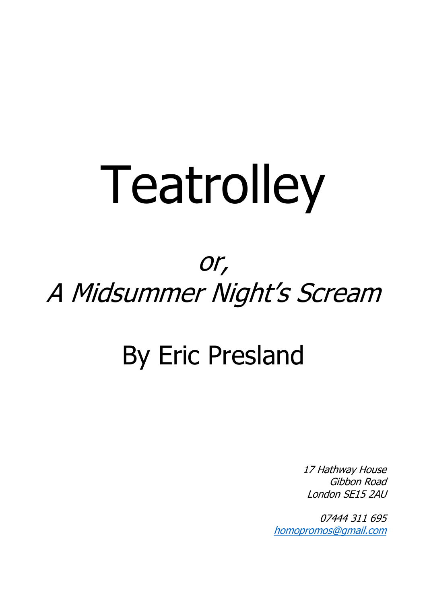# Teatrolley

# or, A Midsummer Night's Scream

# By Eric Presland

17 Hathway House Gibbon Road London SE15 2AU

07444 311 695 [homopromos@gmail.com](mailto:homopromos@gmail.com)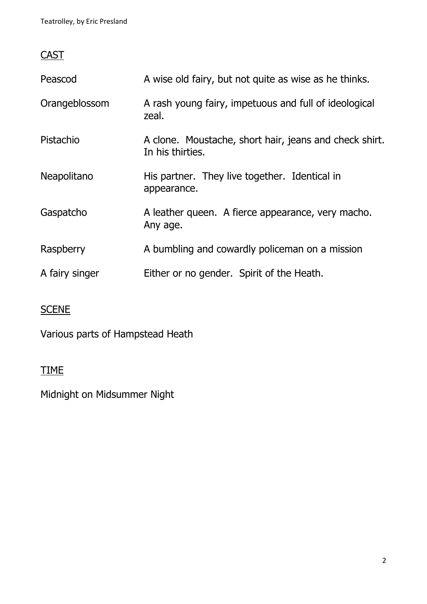# **CAST**

| Peascod        | A wise old fairy, but not quite as wise as he thinks.                      |
|----------------|----------------------------------------------------------------------------|
| Orangeblossom  | A rash young fairy, impetuous and full of ideological<br>zeal.             |
| Pistachio      | A clone. Moustache, short hair, jeans and check shirt.<br>In his thirties. |
| Neapolitano    | His partner. They live together. Identical in<br>appearance.               |
| Gaspatcho      | A leather queen. A fierce appearance, very macho.<br>Any age.              |
| Raspberry      | A bumbling and cowardly policeman on a mission                             |
| A fairy singer | Either or no gender. Spirit of the Heath.                                  |

# **SCENE**

Various parts of Hampstead Heath

# TIME

Midnight on Midsummer Night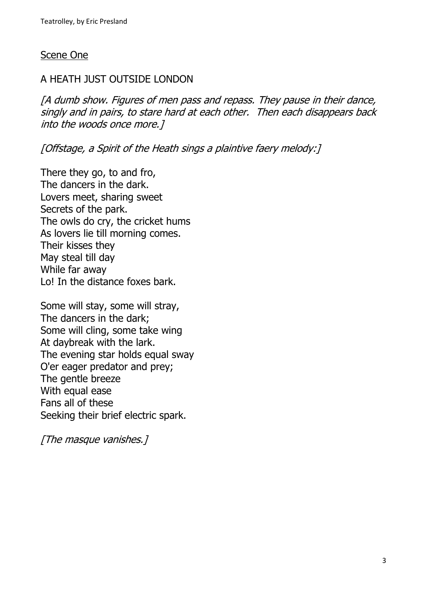#### Scene One

# A HEATH JUST OUTSIDE LONDON

[A dumb show. Figures of men pass and repass. They pause in their dance, singly and in pairs, to stare hard at each other. Then each disappears back into the woods once more.]

[Offstage, a Spirit of the Heath sings a plaintive faery melody:]

There they go, to and fro, The dancers in the dark. Lovers meet, sharing sweet Secrets of the park. The owls do cry, the cricket hums As lovers lie till morning comes. Their kisses they May steal till day While far away Lo! In the distance foxes bark.

Some will stay, some will stray, The dancers in the dark; Some will cling, some take wing At daybreak with the lark. The evening star holds equal sway O'er eager predator and prey; The gentle breeze With equal ease Fans all of these Seeking their brief electric spark.

[The masque vanishes.]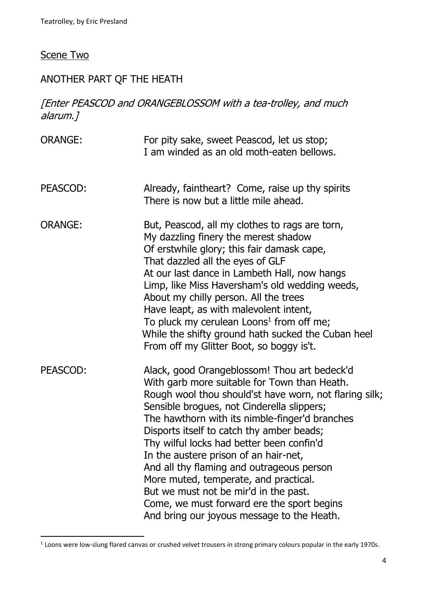# Scene Two

# ANOTHER PART QF THE HEATH

# [Enter PEASCOD and ORANGEBLOSSOM with a tea-trolley, and much alarum.]

| <b>ORANGE:</b> | For pity sake, sweet Peascod, let us stop;<br>I am winded as an old moth-eaten bellows.                                                                                                                                                                                                                                                                                                                                                                                                                                                                                                                              |
|----------------|----------------------------------------------------------------------------------------------------------------------------------------------------------------------------------------------------------------------------------------------------------------------------------------------------------------------------------------------------------------------------------------------------------------------------------------------------------------------------------------------------------------------------------------------------------------------------------------------------------------------|
| PEASCOD:       | Already, faintheart? Come, raise up thy spirits<br>There is now but a little mile ahead.                                                                                                                                                                                                                                                                                                                                                                                                                                                                                                                             |
| <b>ORANGE:</b> | But, Peascod, all my clothes to rags are torn,<br>My dazzling finery the merest shadow<br>Of erstwhile glory; this fair damask cape,<br>That dazzled all the eyes of GLF<br>At our last dance in Lambeth Hall, now hangs<br>Limp, like Miss Haversham's old wedding weeds,<br>About my chilly person. All the trees<br>Have leapt, as with malevolent intent,<br>To pluck my cerulean Loons <sup>1</sup> from off me;<br>While the shifty ground hath sucked the Cuban heel<br>From off my Glitter Boot, so boggy is't.                                                                                              |
| PEASCOD:       | Alack, good Orangeblossom! Thou art bedeck'd<br>With garb more suitable for Town than Heath.<br>Rough wool thou should'st have worn, not flaring silk;<br>Sensible brogues, not Cinderella slippers;<br>The hawthorn with its nimble-finger'd branches<br>Disports itself to catch thy amber beads;<br>Thy wilful locks had better been confin'd<br>In the austere prison of an hair-net,<br>And all thy flaming and outrageous person<br>More muted, temperate, and practical.<br>But we must not be mir'd in the past.<br>Come, we must forward ere the sport begins<br>And bring our joyous message to the Heath. |

<sup>&</sup>lt;sup>1</sup> Loons were low-slung flared canvas or crushed velvet trousers in strong primary colours popular in the early 1970s.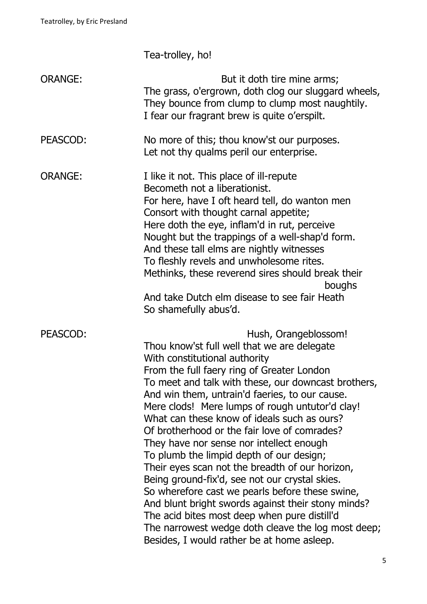Tea-trolley, ho!

| <b>ORANGE:</b> | But it doth tire mine arms;<br>The grass, o'ergrown, doth clog our sluggard wheels,<br>They bounce from clump to clump most naughtily.<br>I fear our fragrant brew is quite o'erspilt.                                                                                                                                                                                                                                                                                                                                                                                                                                                                                                                                                                                                                                                                                  |
|----------------|-------------------------------------------------------------------------------------------------------------------------------------------------------------------------------------------------------------------------------------------------------------------------------------------------------------------------------------------------------------------------------------------------------------------------------------------------------------------------------------------------------------------------------------------------------------------------------------------------------------------------------------------------------------------------------------------------------------------------------------------------------------------------------------------------------------------------------------------------------------------------|
| PEASCOD:       | No more of this; thou know'st our purposes.<br>Let not thy qualms peril our enterprise.                                                                                                                                                                                                                                                                                                                                                                                                                                                                                                                                                                                                                                                                                                                                                                                 |
| <b>ORANGE:</b> | I like it not. This place of ill-repute<br>Becometh not a liberationist.<br>For here, have I oft heard tell, do wanton men<br>Consort with thought carnal appetite;<br>Here doth the eye, inflam'd in rut, perceive<br>Nought but the trappings of a well-shap'd form.<br>And these tall elms are nightly witnesses<br>To fleshly revels and unwholesome rites.<br>Methinks, these reverend sires should break their<br>boughs<br>And take Dutch elm disease to see fair Heath<br>So shamefully abus'd.                                                                                                                                                                                                                                                                                                                                                                 |
| PEASCOD:       | Hush, Orangeblossom!<br>Thou know'st full well that we are delegate<br>With constitutional authority<br>From the full faery ring of Greater London<br>To meet and talk with these, our downcast brothers,<br>And win them, untrain'd faeries, to our cause.<br>Mere clods! Mere lumps of rough untutor'd clay!<br>What can these know of ideals such as ours?<br>Of brotherhood or the fair love of comrades?<br>They have nor sense nor intellect enough<br>To plumb the limpid depth of our design;<br>Their eyes scan not the breadth of our horizon,<br>Being ground-fix'd, see not our crystal skies.<br>So wherefore cast we pearls before these swine,<br>And blunt bright swords against their stony minds?<br>The acid bites most deep when pure distill'd<br>The narrowest wedge doth cleave the log most deep;<br>Besides, I would rather be at home asleep. |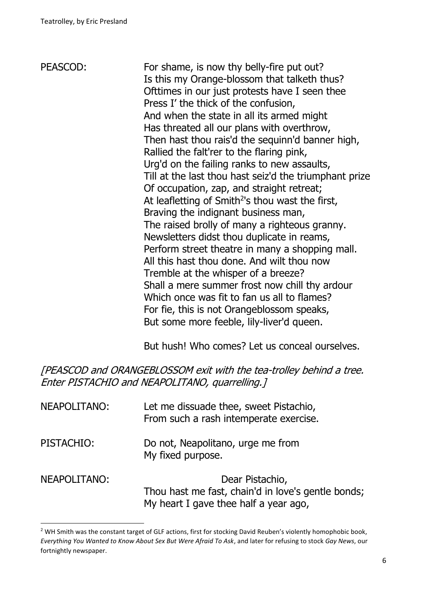PEASCOD: For shame, is now thy belly-fire put out? Is this my Orange-blossom that talketh thus? Ofttimes in our just protests have I seen thee Press I' the thick of the confusion, And when the state in all its armed might Has threated all our plans with overthrow, Then hast thou rais'd the sequinn'd banner high, Rallied the falt'rer to the flaring pink, Urg'd on the failing ranks to new assaults, Till at the last thou hast seiz'd the triumphant prize Of occupation, zap, and straight retreat; At leafletting of Smith $2$ 's thou wast the first, Braving the indignant business man, The raised brolly of many a righteous granny. Newsletters didst thou duplicate in reams, Perform street theatre in many a shopping mall. All this hast thou done. And wilt thou now Tremble at the whisper of a breeze? Shall a mere summer frost now chill thy ardour Which once was fit to fan us all to flames? For fie, this is not Orangeblossom speaks, But some more feeble, lily-liver'd queen.

But hush! Who comes? Let us conceal ourselves.

[PEASCOD and ORANGEBLOSSOM exit with the tea-trolley behind a tree. Enter PISTACHIO and NEAPOLITANO, quarrelling.]

| NEAPOLITANO: | Let me dissuade thee, sweet Pistachio,<br>From such a rash intemperate exercise.                               |
|--------------|----------------------------------------------------------------------------------------------------------------|
| PISTACHIO:   | Do not, Neapolitano, urge me from<br>My fixed purpose.                                                         |
| NEAPOLITANO: | Dear Pistachio,<br>Thou hast me fast, chain'd in love's gentle bonds;<br>My heart I gave thee half a year ago, |

<sup>&</sup>lt;sup>2</sup> WH Smith was the constant target of GLF actions, first for stocking David Reuben's violently homophobic book, *Everything You Wanted to Know About Sex But Were Afraid To Ask*, and later for refusing to stock *Gay News*, our fortnightly newspaper.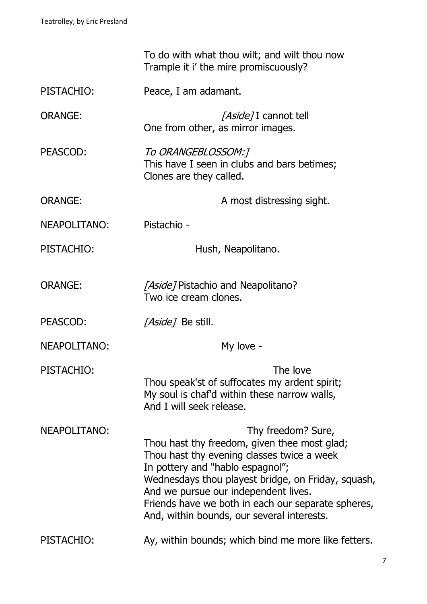|                | To do with what thou wilt; and wilt thou now<br>Trample it i' the mire promiscuously?                                                                                                                                                                                                                                                                  |
|----------------|--------------------------------------------------------------------------------------------------------------------------------------------------------------------------------------------------------------------------------------------------------------------------------------------------------------------------------------------------------|
| PISTACHIO:     | Peace, I am adamant.                                                                                                                                                                                                                                                                                                                                   |
| <b>ORANGE:</b> | <i>[Aside]</i> I cannot tell<br>One from other, as mirror images.                                                                                                                                                                                                                                                                                      |
| PEASCOD:       | To ORANGEBLOSSOM:]<br>This have I seen in clubs and bars betimes;<br>Clones are they called.                                                                                                                                                                                                                                                           |
| <b>ORANGE:</b> | A most distressing sight.                                                                                                                                                                                                                                                                                                                              |
| NEAPOLITANO:   | Pistachio -                                                                                                                                                                                                                                                                                                                                            |
| PISTACHIO:     | Hush, Neapolitano.                                                                                                                                                                                                                                                                                                                                     |
| <b>ORANGE:</b> | <i>[Aside]</i> Pistachio and Neapolitano?<br>Two ice cream clones.                                                                                                                                                                                                                                                                                     |
| PEASCOD:       | <i>[Aside]</i> Be still.                                                                                                                                                                                                                                                                                                                               |
| NEAPOLITANO:   | My love -                                                                                                                                                                                                                                                                                                                                              |
| PISTACHIO:     | The love<br>Thou speak'st of suffocates my ardent spirit;<br>My soul is chaf'd within these narrow walls,<br>And I will seek release.                                                                                                                                                                                                                  |
| NEAPOLITANO:   | Thy freedom? Sure,<br>Thou hast thy freedom, given thee most glad;<br>Thou hast thy evening classes twice a week<br>In pottery and "hablo espagnol";<br>Wednesdays thou playest bridge, on Friday, squash,<br>And we pursue our independent lives.<br>Friends have we both in each our separate spheres,<br>And, within bounds, our several interests. |
| PISTACHIO:     | Ay, within bounds; which bind me more like fetters.                                                                                                                                                                                                                                                                                                    |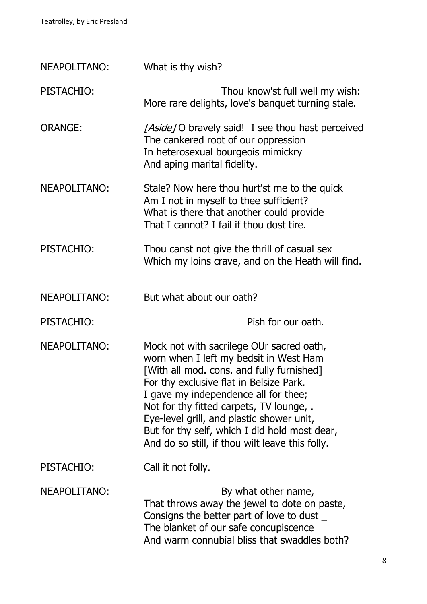| NEAPOLITANO:   | What is thy wish?                                                                                                                                                                                                                                                                                                                                                                                               |  |
|----------------|-----------------------------------------------------------------------------------------------------------------------------------------------------------------------------------------------------------------------------------------------------------------------------------------------------------------------------------------------------------------------------------------------------------------|--|
| PISTACHIO:     | Thou know'st full well my wish:<br>More rare delights, love's banquet turning stale.                                                                                                                                                                                                                                                                                                                            |  |
| <b>ORANGE:</b> | [Aside] O bravely said! I see thou hast perceived<br>The cankered root of our oppression<br>In heterosexual bourgeois mimickry<br>And aping marital fidelity.                                                                                                                                                                                                                                                   |  |
| NEAPOLITANO:   | Stale? Now here thou hurt'st me to the quick<br>Am I not in myself to thee sufficient?<br>What is there that another could provide<br>That I cannot? I fail if thou dost tire.                                                                                                                                                                                                                                  |  |
| PISTACHIO:     | Thou canst not give the thrill of casual sex<br>Which my loins crave, and on the Heath will find.                                                                                                                                                                                                                                                                                                               |  |
| NEAPOLITANO:   | But what about our oath?                                                                                                                                                                                                                                                                                                                                                                                        |  |
| PISTACHIO:     | Pish for our oath.                                                                                                                                                                                                                                                                                                                                                                                              |  |
|                |                                                                                                                                                                                                                                                                                                                                                                                                                 |  |
| NEAPOLITANO:   | Mock not with sacrilege OUr sacred oath,<br>worn when I left my bedsit in West Ham<br>[With all mod. cons. and fully furnished]<br>For thy exclusive flat in Belsize Park.<br>I gave my independence all for thee;<br>Not for thy fitted carpets, TV lounge, .<br>Eye-level grill, and plastic shower unit,<br>But for thy self, which I did hold most dear,<br>And do so still, if thou wilt leave this folly. |  |
| PISTACHIO:     | Call it not folly.                                                                                                                                                                                                                                                                                                                                                                                              |  |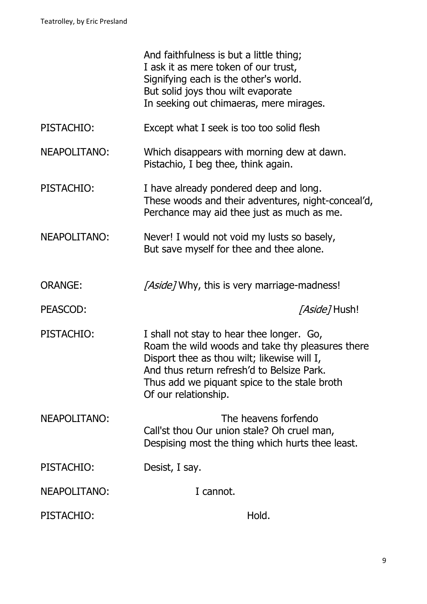|                | And faithfulness is but a little thing;<br>I ask it as mere token of our trust,<br>Signifying each is the other's world.<br>But solid joys thou wilt evaporate<br>In seeking out chimaeras, mere mirages.                                                          |
|----------------|--------------------------------------------------------------------------------------------------------------------------------------------------------------------------------------------------------------------------------------------------------------------|
| PISTACHIO:     | Except what I seek is too too solid flesh                                                                                                                                                                                                                          |
| NEAPOLITANO:   | Which disappears with morning dew at dawn.<br>Pistachio, I beg thee, think again.                                                                                                                                                                                  |
| PISTACHIO:     | I have already pondered deep and long.<br>These woods and their adventures, night-conceal'd,<br>Perchance may aid thee just as much as me.                                                                                                                         |
| NEAPOLITANO:   | Never! I would not void my lusts so basely,<br>But save myself for thee and thee alone.                                                                                                                                                                            |
| <b>ORANGE:</b> | [Aside] Why, this is very marriage-madness!                                                                                                                                                                                                                        |
| PEASCOD:       | <i>[Aside]</i> Hush!                                                                                                                                                                                                                                               |
| PISTACHIO:     | I shall not stay to hear thee longer. Go,<br>Roam the wild woods and take thy pleasures there<br>Disport thee as thou wilt; likewise will I,<br>And thus return refresh'd to Belsize Park.<br>Thus add we piquant spice to the stale broth<br>Of our relationship. |
| NEAPOLITANO:   | The heavens forfendo<br>Call'st thou Our union stale? Oh cruel man,<br>Despising most the thing which hurts thee least.                                                                                                                                            |
| PISTACHIO:     | Desist, I say.                                                                                                                                                                                                                                                     |
| NEAPOLITANO:   | I cannot.                                                                                                                                                                                                                                                          |
| PISTACHIO:     | Hold.                                                                                                                                                                                                                                                              |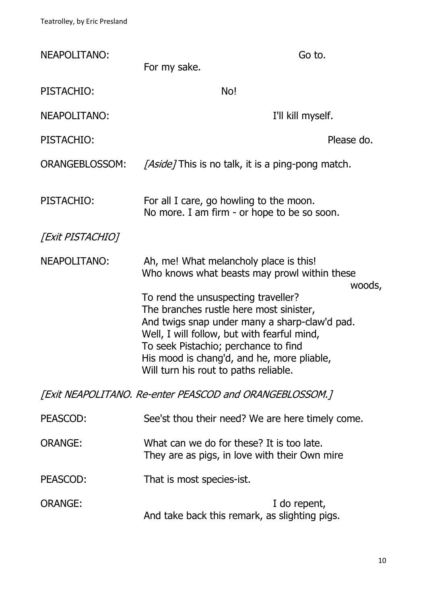| NEAPOLITANO:                                            | Go to.<br>For my sake.                                                                                                                                                                                                                                                                                        |  |
|---------------------------------------------------------|---------------------------------------------------------------------------------------------------------------------------------------------------------------------------------------------------------------------------------------------------------------------------------------------------------------|--|
| PISTACHIO:                                              | No!                                                                                                                                                                                                                                                                                                           |  |
| <b>NEAPOLITANO:</b>                                     | I'll kill myself.                                                                                                                                                                                                                                                                                             |  |
| PISTACHIO:                                              | Please do.                                                                                                                                                                                                                                                                                                    |  |
| <b>ORANGEBLOSSOM:</b>                                   | <i>[Aside]</i> This is no talk, it is a ping-pong match.                                                                                                                                                                                                                                                      |  |
| PISTACHIO:                                              | For all I care, go howling to the moon.<br>No more. I am firm - or hope to be so soon.                                                                                                                                                                                                                        |  |
| [Exit PISTACHIO]                                        |                                                                                                                                                                                                                                                                                                               |  |
| NEAPOLITANO:                                            | Ah, me! What melancholy place is this!<br>Who knows what beasts may prowl within these<br>woods,                                                                                                                                                                                                              |  |
|                                                         | To rend the unsuspecting traveller?<br>The branches rustle here most sinister,<br>And twigs snap under many a sharp-claw'd pad.<br>Well, I will follow, but with fearful mind,<br>To seek Pistachio; perchance to find<br>His mood is chang'd, and he, more pliable,<br>Will turn his rout to paths reliable. |  |
| [Exit NEAPOLITANO. Re-enter PEASCOD and ORANGEBLOSSOM.] |                                                                                                                                                                                                                                                                                                               |  |
| PEASCOD:                                                | See'st thou their need? We are here timely come.                                                                                                                                                                                                                                                              |  |
| <b>ORANGE:</b>                                          | What can we do for these? It is too late.<br>They are as pigs, in love with their Own mire                                                                                                                                                                                                                    |  |
| PEASCOD:                                                | That is most species-ist.                                                                                                                                                                                                                                                                                     |  |
| <b>ORANGE:</b>                                          | I do repent,<br>And take back this remark, as slighting pigs.                                                                                                                                                                                                                                                 |  |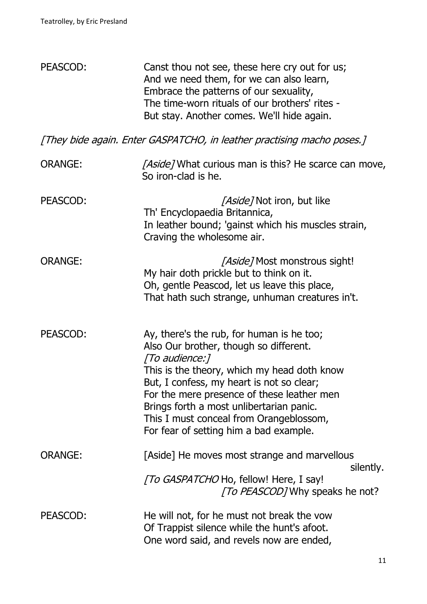| PEASCOD:                                                               | Canst thou not see, these here cry out for us;<br>And we need them, for we can also learn,<br>Embrace the patterns of our sexuality,<br>The time-worn rituals of our brothers' rites -<br>But stay. Another comes. We'll hide again.                                                                                                                                             |  |
|------------------------------------------------------------------------|----------------------------------------------------------------------------------------------------------------------------------------------------------------------------------------------------------------------------------------------------------------------------------------------------------------------------------------------------------------------------------|--|
| [They bide again. Enter GASPATCHO, in leather practising macho poses.] |                                                                                                                                                                                                                                                                                                                                                                                  |  |
| <b>ORANGE:</b>                                                         | <i>[Aside]</i> What curious man is this? He scarce can move,<br>So iron-clad is he.                                                                                                                                                                                                                                                                                              |  |
| PEASCOD:                                                               | <i>[Aside]</i> Not iron, but like<br>Th' Encyclopaedia Britannica,<br>In leather bound; 'gainst which his muscles strain,<br>Craving the wholesome air.                                                                                                                                                                                                                          |  |
| <b>ORANGE:</b>                                                         | [Aside] Most monstrous sight!<br>My hair doth prickle but to think on it.<br>Oh, gentle Peascod, let us leave this place,<br>That hath such strange, unhuman creatures in't.                                                                                                                                                                                                     |  |
| PEASCOD:                                                               | Ay, there's the rub, for human is he too;<br>Also Our brother, though so different.<br>[To audience:]<br>This is the theory, which my head doth know<br>But, I confess, my heart is not so clear;<br>For the mere presence of these leather men<br>Brings forth a most unlibertarian panic.<br>This I must conceal from Orangeblossom,<br>For fear of setting him a bad example. |  |
| <b>ORANGE:</b>                                                         | [Aside] He moves most strange and marvellous<br>silently.<br>[To GASPATCHO Ho, fellow! Here, I say!<br><i>To PEASCODT</i> Why speaks he not?                                                                                                                                                                                                                                     |  |
| PEASCOD:                                                               | He will not, for he must not break the vow<br>Of Trappist silence while the hunt's afoot.<br>One word said, and revels now are ended,                                                                                                                                                                                                                                            |  |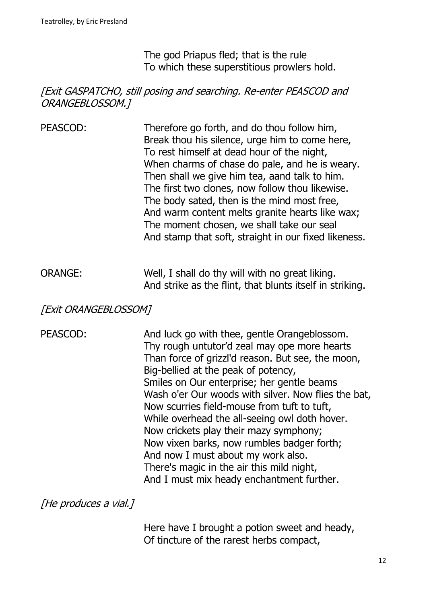The god Priapus fled; that is the rule To which these superstitious prowlers hold.

# [Exit GASPATCHO, still posing and searching. Re-enter PEASCOD and ORANGEBLOSSOM.]

- PEASCOD: Therefore go forth, and do thou follow him, Break thou his silence, urge him to come here, To rest himself at dead hour of the night, When charms of chase do pale, and he is weary. Then shall we give him tea, aand talk to him. The first two clones, now follow thou likewise. The body sated, then is the mind most free, And warm content melts granite hearts like wax; The moment chosen, we shall take our seal And stamp that soft, straight in our fixed likeness.
- ORANGE: Well, I shall do thy will with no great liking. And strike as the flint, that blunts itself in striking.

[Exit ORANGEBLOSSOM]

PEASCOD: And luck go with thee, gentle Orangeblossom. Thy rough untutor'd zeal may ope more hearts Than force of grizzl'd reason. But see, the moon, Big-bellied at the peak of potency, Smiles on Our enterprise; her gentle beams Wash o'er Our woods with silver. Now flies the bat, Now scurries field-mouse from tuft to tuft, While overhead the all-seeing owl doth hover. Now crickets play their mazy symphony; Now vixen barks, now rumbles badger forth; And now I must about my work also. There's magic in the air this mild night, And I must mix heady enchantment further.

[He produces a vial.]

Here have I brought a potion sweet and heady, Of tincture of the rarest herbs compact,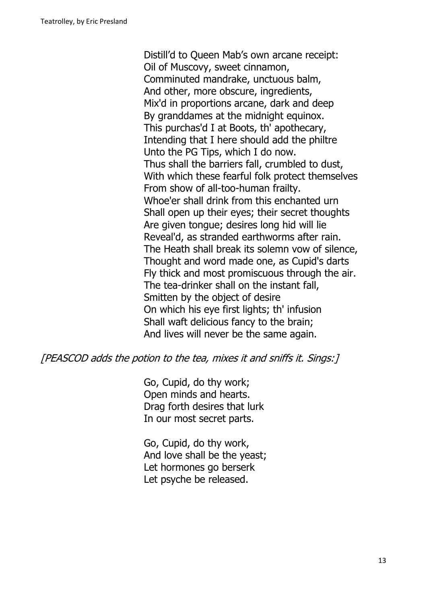Distill'd to Queen Mab's own arcane receipt: Oil of Muscovy, sweet cinnamon, Comminuted mandrake, unctuous balm, And other, more obscure, ingredients, Mix'd in proportions arcane, dark and deep By granddames at the midnight equinox. This purchas'd I at Boots, th' apothecary, Intending that I here should add the philtre Unto the PG Tips, which I do now. Thus shall the barriers fall, crumbled to dust, With which these fearful folk protect themselves From show of all-too-human frailty. Whoe'er shall drink from this enchanted urn Shall open up their eyes; their secret thoughts Are given tongue; desires long hid will lie Reveal'd, as stranded earthworms after rain. The Heath shall break its solemn vow of silence, Thought and word made one, as Cupid's darts Fly thick and most promiscuous through the air. The tea-drinker shall on the instant fall, Smitten by the object of desire On which his eye first lights; th' infusion Shall waft delicious fancy to the brain; And lives will never be the same again.

[PEASCOD adds the potion to the tea, mixes it and sniffs it. Sings:]

Go, Cupid, do thy work; Open minds and hearts. Drag forth desires that lurk In our most secret parts.

Go, Cupid, do thy work, And love shall be the yeast; Let hormones go berserk Let psyche be released.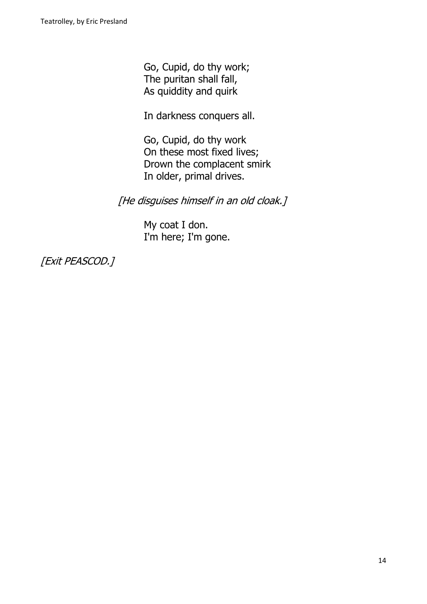Go, Cupid, do thy work; The puritan shall fall, As quiddity and quirk

In darkness conquers all.

Go, Cupid, do thy work On these most fixed lives; Drown the complacent smirk In older, primal drives.

[He disguises himself in an old cloak.]

My coat I don. I'm here; I'm gone.

[Exit PEASCOD.]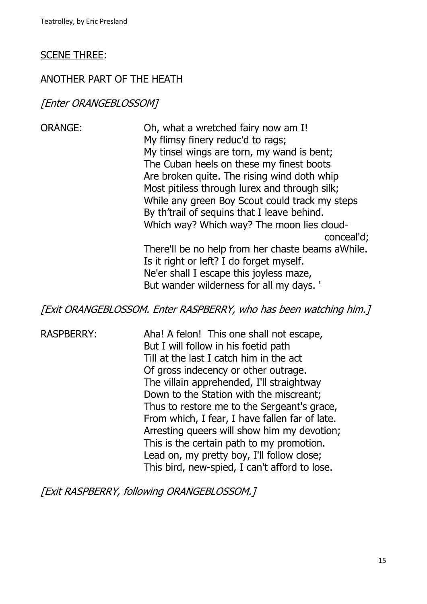#### SCENE THREE:

#### ANOTHER PART OF THE HEATH

#### [Enter ORANGEBLOSSOM]

ORANGE: Oh, what a wretched fairy now am I! My flimsy finery reduc'd to rags; My tinsel wings are torn, my wand is bent; The Cuban heels on these my finest boots Are broken quite. The rising wind doth whip Most pitiless through lurex and through silk; While any green Boy Scout could track my steps By th'trail of sequins that I leave behind. Which way? Which way? The moon lies cloudconceal'd; There'll be no help from her chaste beams aWhile. Is it right or left? I do forget myself. Ne'er shall I escape this joyless maze, But wander wilderness for all my days. '

[Exit ORANGEBLOSSOM. Enter RASPBERRY, who has been watching him.]

RASPBERRY: Aha! A felon! This one shall not escape, But I will follow in his foetid path Till at the last I catch him in the act Of gross indecency or other outrage. The villain apprehended, I'll straightway Down to the Station with the miscreant; Thus to restore me to the Sergeant's grace, From which, I fear, I have fallen far of late. Arresting queers will show him my devotion; This is the certain path to my promotion. Lead on, my pretty boy, I'll follow close; This bird, new-spied, I can't afford to lose.

[Exit RASPBERRY, following ORANGEBLOSSOM.]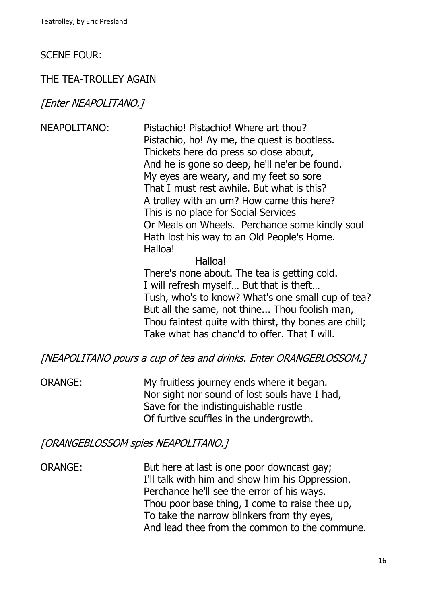#### SCENE FOUR:

#### THE TEA-TROLLEY AGAIN

#### [Enter NEAPOLITANO.]

NEAPOLITANO: Pistachio! Pistachio! Where art thou? Pistachio, ho! Ay me, the quest is bootless. Thickets here do press so close about, And he is gone so deep, he'll ne'er be found. My eyes are weary, and my feet so sore That I must rest awhile. But what is this? A trolley with an urn? How came this here? This is no place for Social Services Or Meals on Wheels. Perchance some kindly soul Hath lost his way to an Old People's Home. Halloa!

#### Halloa!

There's none about. The tea is getting cold. I will refresh myself… But that is theft… Tush, who's to know? What's one small cup of tea? But all the same, not thine... Thou foolish man, Thou faintest quite with thirst, thy bones are chill; Take what has chanc'd to offer. That I will.

[NEAPOLITANO pours a cup of tea and drinks. Enter ORANGEBLOSSOM.]

ORANGE: My fruitless journey ends where it began. Nor sight nor sound of lost souls have I had, Save for the indistinguishable rustle Of furtive scuffles in the undergrowth.

#### [ORANGEBLOSSOM spies NEAPOLITANO.]

ORANGE: But here at last is one poor downcast gay; I'll talk with him and show him his Oppression. Perchance he'll see the error of his ways. Thou poor base thing, I come to raise thee up, To take the narrow blinkers from thy eyes, And lead thee from the common to the commune.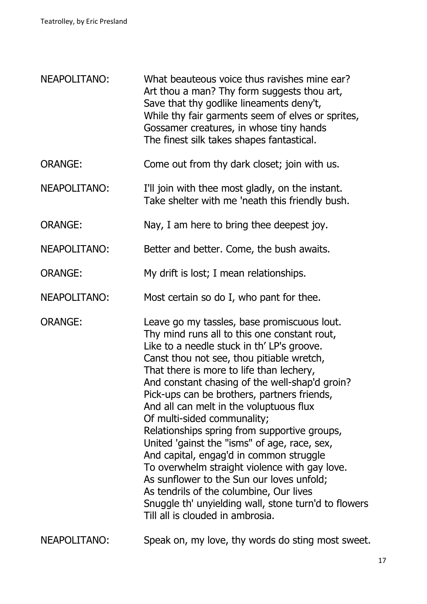| <b>NEAPOLITANO:</b> | What beauteous voice thus ravishes mine ear?<br>Art thou a man? Thy form suggests thou art,<br>Save that thy godlike lineaments deny't,<br>While thy fair garments seem of elves or sprites,<br>Gossamer creatures, in whose tiny hands<br>The finest silk takes shapes fantastical.                                                                                                                                                                                                                                                                                                                                                                                                                                                                                                          |
|---------------------|-----------------------------------------------------------------------------------------------------------------------------------------------------------------------------------------------------------------------------------------------------------------------------------------------------------------------------------------------------------------------------------------------------------------------------------------------------------------------------------------------------------------------------------------------------------------------------------------------------------------------------------------------------------------------------------------------------------------------------------------------------------------------------------------------|
| <b>ORANGE:</b>      | Come out from thy dark closet; join with us.                                                                                                                                                                                                                                                                                                                                                                                                                                                                                                                                                                                                                                                                                                                                                  |
| NEAPOLITANO:        | I'll join with thee most gladly, on the instant.<br>Take shelter with me 'neath this friendly bush.                                                                                                                                                                                                                                                                                                                                                                                                                                                                                                                                                                                                                                                                                           |
| <b>ORANGE:</b>      | Nay, I am here to bring thee deepest joy.                                                                                                                                                                                                                                                                                                                                                                                                                                                                                                                                                                                                                                                                                                                                                     |
| <b>NEAPOLITANO:</b> | Better and better. Come, the bush awaits.                                                                                                                                                                                                                                                                                                                                                                                                                                                                                                                                                                                                                                                                                                                                                     |
| <b>ORANGE:</b>      | My drift is lost; I mean relationships.                                                                                                                                                                                                                                                                                                                                                                                                                                                                                                                                                                                                                                                                                                                                                       |
| NEAPOLITANO:        | Most certain so do I, who pant for thee.                                                                                                                                                                                                                                                                                                                                                                                                                                                                                                                                                                                                                                                                                                                                                      |
| <b>ORANGE:</b>      | Leave go my tassles, base promiscuous lout.<br>Thy mind runs all to this one constant rout,<br>Like to a needle stuck in th' LP's groove.<br>Canst thou not see, thou pitiable wretch,<br>That there is more to life than lechery,<br>And constant chasing of the well-shap'd groin?<br>Pick-ups can be brothers, partners friends,<br>And all can melt in the voluptuous flux<br>Of multi-sided communality;<br>Relationships spring from supportive groups,<br>United 'gainst the "isms" of age, race, sex,<br>And capital, engag'd in common struggle<br>To overwhelm straight violence with gay love.<br>As sunflower to the Sun our loves unfold;<br>As tendrils of the columbine, Our lives<br>Snuggle th' unyielding wall, stone turn'd to flowers<br>Till all is clouded in ambrosia. |
| NEAPOLITANO:        | Speak on, my love, thy words do sting most sweet.                                                                                                                                                                                                                                                                                                                                                                                                                                                                                                                                                                                                                                                                                                                                             |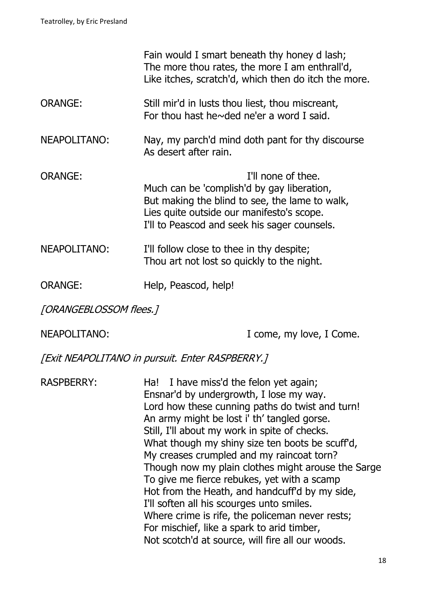|                        |                                                                                                                                         | Fain would I smart beneath thy honey d lash;<br>The more thou rates, the more I am enthrall'd,<br>Like itches, scratch'd, which then do itch the more. |
|------------------------|-----------------------------------------------------------------------------------------------------------------------------------------|--------------------------------------------------------------------------------------------------------------------------------------------------------|
| <b>ORANGE:</b>         | Still mir'd in lusts thou liest, thou miscreant,<br>For thou hast he $\sim$ ded ne'er a word I said.                                    |                                                                                                                                                        |
| <b>NEAPOLITANO:</b>    | As desert after rain.                                                                                                                   | Nay, my parch'd mind doth pant for thy discourse                                                                                                       |
| <b>ORANGE:</b>         | Much can be 'complish'd by gay liberation,<br>Lies quite outside our manifesto's scope.<br>I'll to Peascod and seek his sager counsels. | I'll none of thee.<br>But making the blind to see, the lame to walk,                                                                                   |
| <b>NEAPOLITANO:</b>    | I'll follow close to thee in thy despite;<br>Thou art not lost so quickly to the night.                                                 |                                                                                                                                                        |
| <b>ORANGE:</b>         | Help, Peascod, help!                                                                                                                    |                                                                                                                                                        |
| [ORANGEBLOSSOM flees.] |                                                                                                                                         |                                                                                                                                                        |
| NEAPOLITANO:           |                                                                                                                                         | I come, my love, I Come.                                                                                                                               |

[Exit NEAPOLITANO in pursuit. Enter RASPBERRY.]

RASPBERRY: Ha! I have miss'd the felon yet again; Ensnar'd by undergrowth, I lose my way. Lord how these cunning paths do twist and turn! An army might be lost i' th' tangled gorse. Still, I'll about my work in spite of checks. What though my shiny size ten boots be scuff'd, My creases crumpled and my raincoat torn? Though now my plain clothes might arouse the Sarge To give me fierce rebukes, yet with a scamp Hot from the Heath, and handcuff'd by my side, I'll soften all his scourges unto smiles. Where crime is rife, the policeman never rests; For mischief, like a spark to arid timber, Not scotch'd at source, will fire all our woods.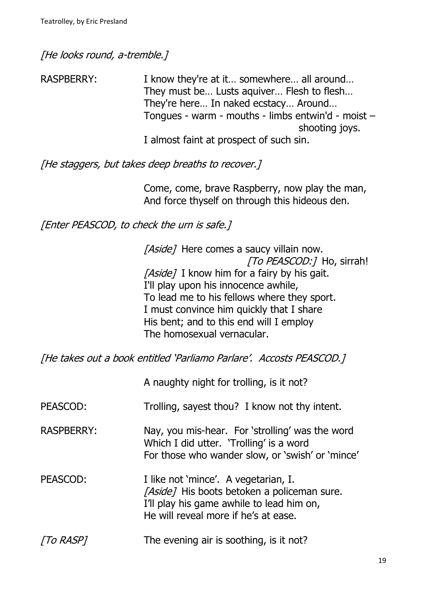[He looks round, a-tremble.]

RASPBERRY: I know they're at it... somewhere... all around... They must be… Lusts aquiver… Flesh to flesh… They're here… In naked ecstacy… Around… Tongues - warm - mouths - limbs entwin'd - moist – shooting joys. I almost faint at prospect of such sin.

[He staggers, but takes deep breaths to recover.]

Come, come, brave Raspberry, now play the man, And force thyself on through this hideous den.

[Enter PEASCOD, to check the urn is safe.]

[Aside] Here comes a saucy villain now. [To PEASCOD:] Ho, sirrah! [Aside] I know him for a fairy by his gait. I'll play upon his innocence awhile, To lead me to his fellows where they sport. I must convince him quickly that I share His bent; and to this end will I employ The homosexual vernacular.

[He takes out a book entitled 'Parliamo Parlare'. Accosts PEASCOD.]

A naughty night for trolling, is it not?

PEASCOD: Trolling, sayest thou? I know not thy intent.

- RASPBERRY: Nay, you mis-hear. For 'strolling' was the word Which I did utter. 'Trolling' is a word For those who wander slow, or 'swish' or 'mince'
- PEASCOD: I like not 'mince'. A vegetarian, I. [Aside] His boots betoken a policeman sure. I'll play his game awhile to lead him on, He will reveal more if he's at ease.
- To RASP] The evening air is soothing, is it not?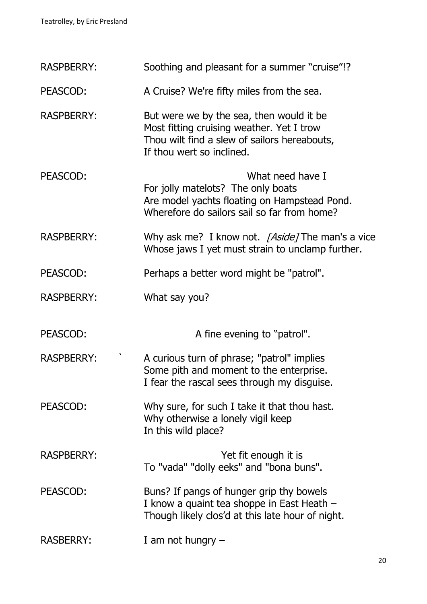| <b>RASPBERRY:</b> | Soothing and pleasant for a summer "cruise"!?                                                                                                                      |
|-------------------|--------------------------------------------------------------------------------------------------------------------------------------------------------------------|
| PEASCOD:          | A Cruise? We're fifty miles from the sea.                                                                                                                          |
| <b>RASPBERRY:</b> | But were we by the sea, then would it be<br>Most fitting cruising weather. Yet I trow<br>Thou wilt find a slew of sailors hereabouts,<br>If thou wert so inclined. |
| PEASCOD:          | What need have I<br>For jolly matelots? The only boats<br>Are model yachts floating on Hampstead Pond.<br>Wherefore do sailors sail so far from home?              |
| <b>RASPBERRY:</b> | Why ask me? I know not. [Aside] The man's a vice<br>Whose jaws I yet must strain to unclamp further.                                                               |
| PEASCOD:          | Perhaps a better word might be "patrol".                                                                                                                           |
| <b>RASPBERRY:</b> | What say you?                                                                                                                                                      |
| PEASCOD:          | A fine evening to "patrol".                                                                                                                                        |
| <b>RASPBERRY:</b> | A curious turn of phrase; "patrol" implies<br>Some pith and moment to the enterprise.<br>I fear the rascal sees through my disguise.                               |
| PEASCOD:          | Why sure, for such I take it that thou hast.<br>Why otherwise a lonely vigil keep<br>In this wild place?                                                           |
| <b>RASPBERRY:</b> | Yet fit enough it is<br>To "vada" "dolly eeks" and "bona buns".                                                                                                    |
| PEASCOD:          | Buns? If pangs of hunger grip thy bowels<br>I know a quaint tea shoppe in East Heath -<br>Though likely clos'd at this late hour of night.                         |
| <b>RASBERRY:</b>  | I am not hungry $-$                                                                                                                                                |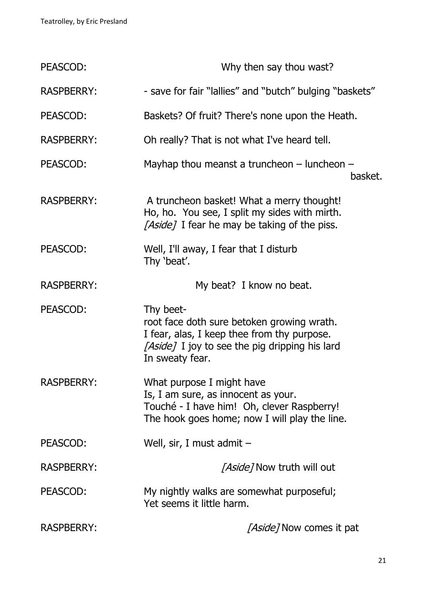| PEASCOD:          | Why then say thou wast?                                                                                                                                                     |
|-------------------|-----------------------------------------------------------------------------------------------------------------------------------------------------------------------------|
| <b>RASPBERRY:</b> | - save for fair "lallies" and "butch" bulging "baskets"                                                                                                                     |
| PEASCOD:          | Baskets? Of fruit? There's none upon the Heath.                                                                                                                             |
| <b>RASPBERRY:</b> | Oh really? That is not what I've heard tell.                                                                                                                                |
| PEASCOD:          | Mayhap thou meanst a truncheon $-$ luncheon $-$<br>basket.                                                                                                                  |
| <b>RASPBERRY:</b> | A truncheon basket! What a merry thought!<br>Ho, ho. You see, I split my sides with mirth.<br>[Aside] I fear he may be taking of the piss.                                  |
| PEASCOD:          | Well, I'll away, I fear that I disturb<br>Thy 'beat'.                                                                                                                       |
| <b>RASPBERRY:</b> | My beat? I know no beat.                                                                                                                                                    |
| PEASCOD:          | Thy beet-<br>root face doth sure betoken growing wrath.<br>I fear, alas, I keep thee from thy purpose.<br>[Aside] I joy to see the pig dripping his lard<br>In sweaty fear. |
| <b>RASPBERRY:</b> | What purpose I might have<br>Is, I am sure, as innocent as your.<br>Touché - I have him! Oh, clever Raspberry!<br>The hook goes home; now I will play the line.             |
| PEASCOD:          | Well, sir, I must admit $-$                                                                                                                                                 |
| <b>RASPBERRY:</b> | <i>[Aside]</i> Now truth will out                                                                                                                                           |
| PEASCOD:          | My nightly walks are somewhat purposeful;<br>Yet seems it little harm.                                                                                                      |
| <b>RASPBERRY:</b> | [Aside] Now comes it pat                                                                                                                                                    |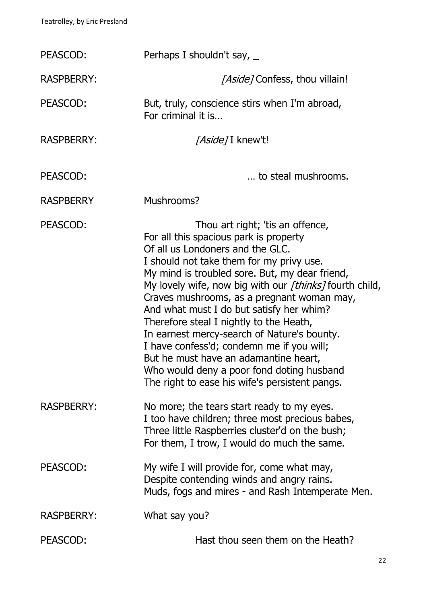| PEASCOD:          | Perhaps I shouldn't say, $\overline{\phantom{a}}$                                                                                                                                                                                                                                                                                                                                                                                                                                                                                                                                                                                                |
|-------------------|--------------------------------------------------------------------------------------------------------------------------------------------------------------------------------------------------------------------------------------------------------------------------------------------------------------------------------------------------------------------------------------------------------------------------------------------------------------------------------------------------------------------------------------------------------------------------------------------------------------------------------------------------|
| <b>RASPBERRY:</b> | <i>[Aside]</i> Confess, thou villain!                                                                                                                                                                                                                                                                                                                                                                                                                                                                                                                                                                                                            |
| PEASCOD:          | But, truly, conscience stirs when I'm abroad,<br>For criminal it is                                                                                                                                                                                                                                                                                                                                                                                                                                                                                                                                                                              |
| <b>RASPBERRY:</b> | <i>[Aside]</i> I knew't!                                                                                                                                                                                                                                                                                                                                                                                                                                                                                                                                                                                                                         |
| PEASCOD:          | to steal mushrooms.                                                                                                                                                                                                                                                                                                                                                                                                                                                                                                                                                                                                                              |
| <b>RASPBERRY</b>  | Mushrooms?                                                                                                                                                                                                                                                                                                                                                                                                                                                                                                                                                                                                                                       |
| PEASCOD:          | Thou art right; 'tis an offence,<br>For all this spacious park is property<br>Of all us Londoners and the GLC.<br>I should not take them for my privy use.<br>My mind is troubled sore. But, my dear friend,<br>My lovely wife, now big with our [thinks] fourth child,<br>Craves mushrooms, as a pregnant woman may,<br>And what must I do but satisfy her whim?<br>Therefore steal I nightly to the Heath,<br>In earnest mercy-search of Nature's bounty.<br>I have confess'd; condemn me if you will;<br>But he must have an adamantine heart,<br>Who would deny a poor fond doting husband<br>The right to ease his wife's persistent pangs. |
| <b>RASPBERRY:</b> | No more; the tears start ready to my eyes.<br>I too have children; three most precious babes,<br>Three little Raspberries cluster'd on the bush;<br>For them, I trow, I would do much the same.                                                                                                                                                                                                                                                                                                                                                                                                                                                  |
| PEASCOD:          | My wife I will provide for, come what may,<br>Despite contending winds and angry rains.<br>Muds, fogs and mires - and Rash Intemperate Men.                                                                                                                                                                                                                                                                                                                                                                                                                                                                                                      |
| <b>RASPBERRY:</b> | What say you?                                                                                                                                                                                                                                                                                                                                                                                                                                                                                                                                                                                                                                    |
| PEASCOD:          | Hast thou seen them on the Heath?                                                                                                                                                                                                                                                                                                                                                                                                                                                                                                                                                                                                                |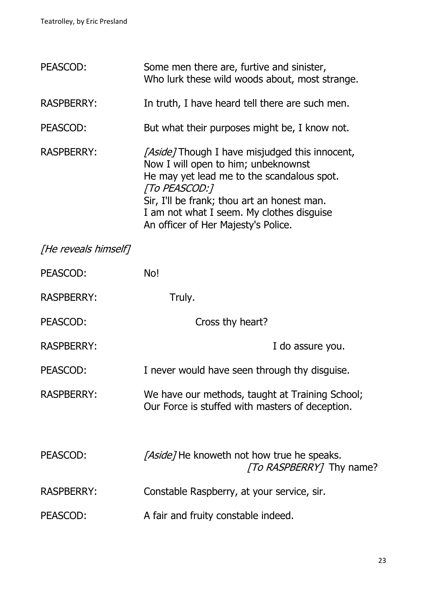| PEASCOD:             | Some men there are, furtive and sinister,<br>Who lurk these wild woods about, most strange.                                                                                                                                                                                                    |
|----------------------|------------------------------------------------------------------------------------------------------------------------------------------------------------------------------------------------------------------------------------------------------------------------------------------------|
| <b>RASPBERRY:</b>    | In truth, I have heard tell there are such men.                                                                                                                                                                                                                                                |
| PEASCOD:             | But what their purposes might be, I know not.                                                                                                                                                                                                                                                  |
| <b>RASPBERRY:</b>    | <i>[Aside]</i> Though I have misjudged this innocent,<br>Now I will open to him; unbeknownst<br>He may yet lead me to the scandalous spot.<br>[To PEASCOD:]<br>Sir, I'll be frank; thou art an honest man.<br>I am not what I seem. My clothes disguise<br>An officer of Her Majesty's Police. |
| [He reveals himself] |                                                                                                                                                                                                                                                                                                |
| PEASCOD:             | No!                                                                                                                                                                                                                                                                                            |
| <b>RASPBERRY:</b>    | Truly.                                                                                                                                                                                                                                                                                         |
| PEASCOD:             | Cross thy heart?                                                                                                                                                                                                                                                                               |
| <b>RASPBERRY:</b>    | I do assure you.                                                                                                                                                                                                                                                                               |
| PEASCOD:             | I never would have seen through thy disguise.                                                                                                                                                                                                                                                  |
| <b>RASPBERRY:</b>    | We have our methods, taught at Training School;<br>Our Force is stuffed with masters of deception.                                                                                                                                                                                             |
| PEASCOD:             | [Aside] He knoweth not how true he speaks.<br><i>To RASPBERRY</i> 7 Thy name?                                                                                                                                                                                                                  |
| <b>RASPBERRY:</b>    | Constable Raspberry, at your service, sir.                                                                                                                                                                                                                                                     |
| PEASCOD:             | A fair and fruity constable indeed.                                                                                                                                                                                                                                                            |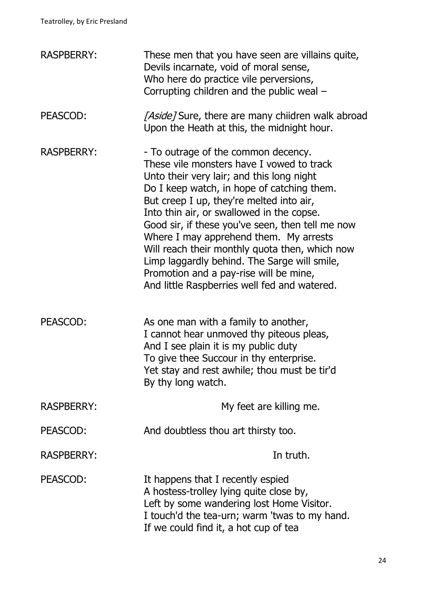| <b>RASPBERRY:</b> | These men that you have seen are villains quite,<br>Devils incarnate, void of moral sense,<br>Who here do practice vile perversions,<br>Corrupting children and the public weal -                                                                                                                                                                                                                                                                                                                                                                              |
|-------------------|----------------------------------------------------------------------------------------------------------------------------------------------------------------------------------------------------------------------------------------------------------------------------------------------------------------------------------------------------------------------------------------------------------------------------------------------------------------------------------------------------------------------------------------------------------------|
| PEASCOD:          | [Aside] Sure, there are many chiidren walk abroad<br>Upon the Heath at this, the midnight hour.                                                                                                                                                                                                                                                                                                                                                                                                                                                                |
| <b>RASPBERRY:</b> | - To outrage of the common decency.<br>These vile monsters have I vowed to track<br>Unto their very lair; and this long night<br>Do I keep watch, in hope of catching them.<br>But creep I up, they're melted into air,<br>Into thin air, or swallowed in the copse.<br>Good sir, if these you've seen, then tell me now<br>Where I may apprehend them. My arrests<br>Will reach their monthly quota then, which now<br>Limp laggardly behind. The Sarge will smile,<br>Promotion and a pay-rise will be mine,<br>And little Raspberries well fed and watered. |
| PEASCOD:          | As one man with a family to another,<br>I cannot hear unmoved thy piteous pleas,<br>And I see plain it is my public duty<br>To give thee Succour in thy enterprise.<br>Yet stay and rest awhile; thou must be tir'd<br>By thy long watch.                                                                                                                                                                                                                                                                                                                      |
| <b>RASPBERRY:</b> | My feet are killing me.                                                                                                                                                                                                                                                                                                                                                                                                                                                                                                                                        |
| PEASCOD:          | And doubtless thou art thirsty too.                                                                                                                                                                                                                                                                                                                                                                                                                                                                                                                            |
| <b>RASPBERRY:</b> | In truth.                                                                                                                                                                                                                                                                                                                                                                                                                                                                                                                                                      |
| PEASCOD:          | It happens that I recently espied<br>A hostess-trolley lying quite close by,<br>Left by some wandering lost Home Visitor.<br>I touch'd the tea-urn; warm 'twas to my hand.<br>If we could find it, a hot cup of tea                                                                                                                                                                                                                                                                                                                                            |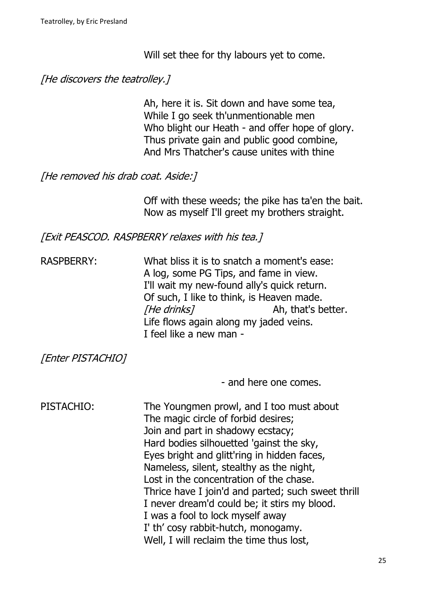Will set thee for thy labours yet to come.

# [He discovers the teatrolley.]

Ah, here it is. Sit down and have some tea, While I go seek th'unmentionable men Who blight our Heath - and offer hope of glory. Thus private gain and public good combine, And Mrs Thatcher's cause unites with thine

[He removed his drab coat. Aside:]

Off with these weeds; the pike has ta'en the bait. Now as myself I'll greet my brothers straight.

[Exit PEASCOD. RASPBERRY relaxes with his tea.]

RASPBERRY: What bliss it is to snatch a moment's ease: A log, some PG Tips, and fame in view. I'll wait my new-found ally's quick return. Of such, I like to think, is Heaven made. The drinks? Ah, that's better. Life flows again along my jaded veins. I feel like a new man -

[Enter PISTACHIO]

- and here one comes.

| PISTACHIO: | The Youngmen prowl, and I too must about<br>The magic circle of forbid desires;<br>Join and part in shadowy ecstacy;<br>Hard bodies silhouetted 'gainst the sky, |
|------------|------------------------------------------------------------------------------------------------------------------------------------------------------------------|
|            | Eyes bright and glitt'ring in hidden faces,<br>Nameless, silent, stealthy as the night,                                                                          |
|            | Lost in the concentration of the chase.                                                                                                                          |
|            | Thrice have I join'd and parted; such sweet thrill<br>I never dream'd could be; it stirs my blood.                                                               |
|            | I was a fool to lock myself away                                                                                                                                 |
|            | I' th' cosy rabbit-hutch, monogamy.                                                                                                                              |
|            | Well, I will reclaim the time thus lost,                                                                                                                         |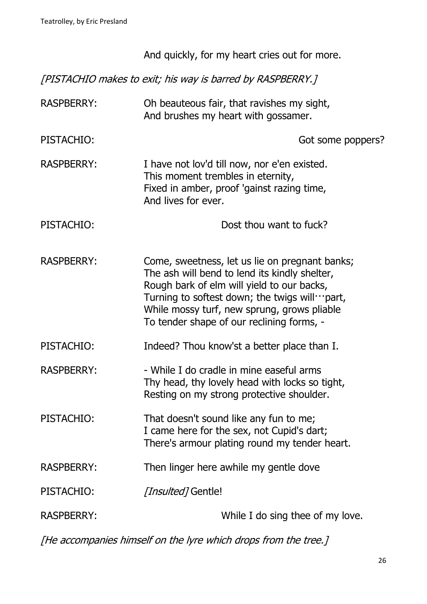|                   | And quickly, for my heart cries out for more.                                                                                                                                                                                                                                                       |
|-------------------|-----------------------------------------------------------------------------------------------------------------------------------------------------------------------------------------------------------------------------------------------------------------------------------------------------|
|                   | [PISTACHIO makes to exit; his way is barred by RASPBERRY.]                                                                                                                                                                                                                                          |
| <b>RASPBERRY:</b> | Oh beauteous fair, that ravishes my sight,<br>And brushes my heart with gossamer.                                                                                                                                                                                                                   |
| PISTACHIO:        | Got some poppers?                                                                                                                                                                                                                                                                                   |
| <b>RASPBERRY:</b> | I have not lov'd till now, nor e'en existed.<br>This moment trembles in eternity,<br>Fixed in amber, proof 'gainst razing time,<br>And lives for ever.                                                                                                                                              |
| PISTACHIO:        | Dost thou want to fuck?                                                                                                                                                                                                                                                                             |
| <b>RASPBERRY:</b> | Come, sweetness, let us lie on pregnant banks;<br>The ash will bend to lend its kindly shelter,<br>Rough bark of elm will yield to our backs,<br>Turning to softest down; the twigs will $\cdots$ part,<br>While mossy turf, new sprung, grows pliable<br>To tender shape of our reclining forms, - |
| PISTACHIO:        | Indeed? Thou know'st a better place than I.                                                                                                                                                                                                                                                         |
| <b>RASPBERRY:</b> | - While I do cradle in mine easeful arms<br>Thy head, thy lovely head with locks so tight,<br>Resting on my strong protective shoulder.                                                                                                                                                             |
| PISTACHIO:        | That doesn't sound like any fun to me;<br>I came here for the sex, not Cupid's dart;<br>There's armour plating round my tender heart.                                                                                                                                                               |
| <b>RASPBERRY:</b> | Then linger here awhile my gentle dove                                                                                                                                                                                                                                                              |
| PISTACHIO:        | <i>[Insulted]</i> Gentle!                                                                                                                                                                                                                                                                           |
| <b>RASPBERRY:</b> | While I do sing thee of my love.                                                                                                                                                                                                                                                                    |

[He accompanies himself on the lyre which drops from the tree.]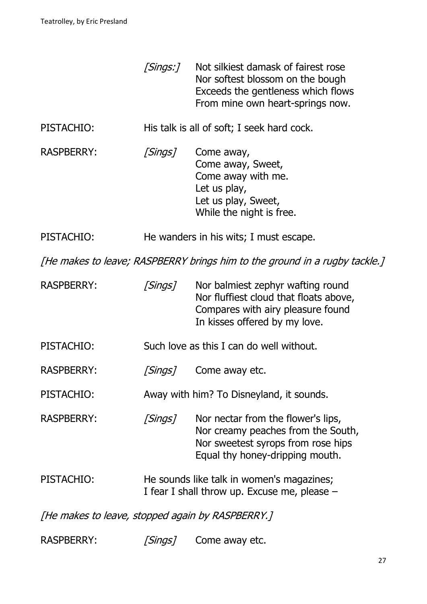|                                                                            | [Sings:]             | Not silkiest damask of fairest rose<br>Nor softest blossom on the bough<br>Exceeds the gentleness which flows<br>From mine own heart-springs now. |
|----------------------------------------------------------------------------|----------------------|---------------------------------------------------------------------------------------------------------------------------------------------------|
| PISTACHIO:                                                                 |                      | His talk is all of soft; I seek hard cock.                                                                                                        |
| <b>RASPBERRY:</b>                                                          | [Sings]              | Come away,<br>Come away, Sweet,<br>Come away with me.<br>Let us play,<br>Let us play, Sweet,<br>While the night is free.                          |
| PISTACHIO:                                                                 |                      | He wanders in his wits; I must escape.                                                                                                            |
| [He makes to leave; RASPBERRY brings him to the ground in a rugby tackle.] |                      |                                                                                                                                                   |
| <b>RASPBERRY:</b>                                                          | [Sings]              | Nor balmiest zephyr wafting round<br>Nor fluffiest cloud that floats above,<br>Compares with airy pleasure found<br>In kisses offered by my love. |
| PISTACHIO:                                                                 |                      | Such love as this I can do well without.                                                                                                          |
| <b>RASPBERRY:</b>                                                          | <i><b>Sings1</b></i> | Come away etc.                                                                                                                                    |
| PISTACHIO:                                                                 |                      | Away with him? To Disneyland, it sounds.                                                                                                          |
| <b>RASPBERRY:</b>                                                          | [Sings]              | Nor nectar from the flower's lips,<br>Nor creamy peaches from the South,<br>Nor sweetest syrops from rose hips<br>Equal thy honey-dripping mouth. |
| PISTACHIO:                                                                 |                      | He sounds like talk in women's magazines;<br>I fear I shall throw up. Excuse me, please –                                                         |
| [He makes to leave, stopped again by RASPBERRY.]                           |                      |                                                                                                                                                   |
| <b>RASPBERRY:</b>                                                          | [Sings]              | Come away etc.                                                                                                                                    |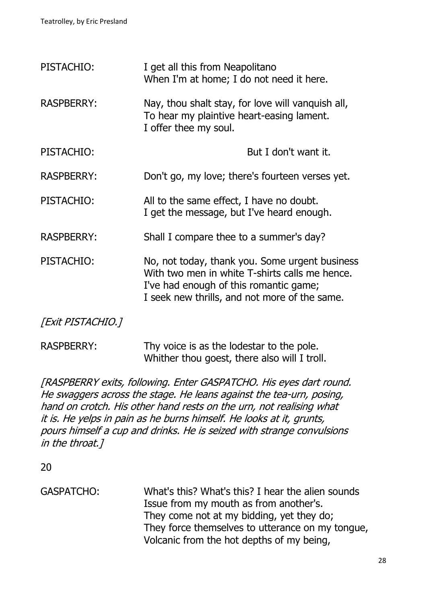| PISTACHIO:        | I get all this from Neapolitano<br>When I'm at home; I do not need it here.                                                                                                                 |
|-------------------|---------------------------------------------------------------------------------------------------------------------------------------------------------------------------------------------|
| <b>RASPBERRY:</b> | Nay, thou shalt stay, for love will vanquish all,<br>To hear my plaintive heart-easing lament.<br>I offer thee my soul.                                                                     |
| PISTACHIO:        | But I don't want it.                                                                                                                                                                        |
| <b>RASPBERRY:</b> | Don't go, my love; there's fourteen verses yet.                                                                                                                                             |
| PISTACHIO:        | All to the same effect, I have no doubt.<br>I get the message, but I've heard enough.                                                                                                       |
| <b>RASPBERRY:</b> | Shall I compare thee to a summer's day?                                                                                                                                                     |
| PISTACHIO:        | No, not today, thank you. Some urgent business<br>With two men in white T-shirts calls me hence.<br>I've had enough of this romantic game;<br>I seek new thrills, and not more of the same. |

[Exit PISTACHIO.]

RASPBERRY: Thy voice is as the lodestar to the pole. Whither thou goest, there also will I troll.

[RASPBERRY exits, following. Enter GASPATCHO. His eyes dart round. He swaggers across the stage. He leans against the tea-urn, posing, hand on crotch. His other hand rests on the urn, not realising what it is. He yelps in pain as he burns himself. He looks at it, grunts, pours himself a cup and drinks. He is seized with strange convulsions in the throat.]

20

GASPATCHO: What's this? What's this? I hear the alien sounds Issue from my mouth as from another's. They come not at my bidding, yet they do; They force themselves to utterance on my tongue, Volcanic from the hot depths of my being,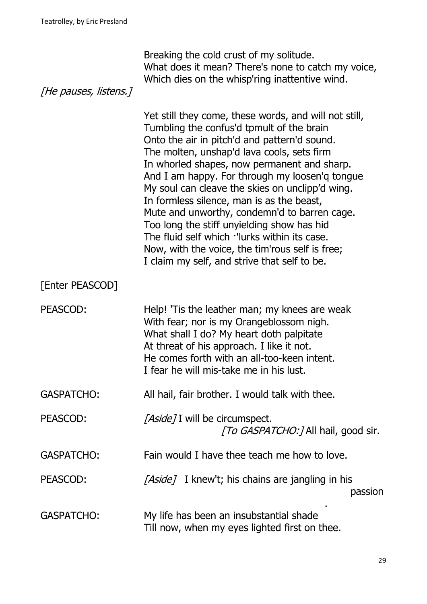| [He pauses, listens.] | Breaking the cold crust of my solitude.<br>What does it mean? There's none to catch my voice,<br>Which dies on the whisp'ring inattentive wind.                                                                                                                                                                                                                                                                                                                                                                                                                                                                                                    |
|-----------------------|----------------------------------------------------------------------------------------------------------------------------------------------------------------------------------------------------------------------------------------------------------------------------------------------------------------------------------------------------------------------------------------------------------------------------------------------------------------------------------------------------------------------------------------------------------------------------------------------------------------------------------------------------|
|                       | Yet still they come, these words, and will not still,<br>Tumbling the confus'd tpmult of the brain<br>Onto the air in pitch'd and pattern'd sound.<br>The molten, unshap'd lava cools, sets firm<br>In whorled shapes, now permanent and sharp.<br>And I am happy. For through my loosen'q tongue<br>My soul can cleave the skies on unclipp'd wing.<br>In formless silence, man is as the beast,<br>Mute and unworthy, condemn'd to barren cage.<br>Too long the stiff unyielding show has hid<br>The fluid self which 'lurks within its case.<br>Now, with the voice, the tim'rous self is free;<br>I claim my self, and strive that self to be. |
| [Enter PEASCOD]       |                                                                                                                                                                                                                                                                                                                                                                                                                                                                                                                                                                                                                                                    |
| PEASCOD:              | Help! 'Tis the leather man; my knees are weak<br>With fear; nor is my Orangeblossom nigh.<br>What shall I do? My heart doth palpitate<br>At threat of his approach. I like it not.<br>He comes forth with an all-too-keen intent.<br>I fear he will mis-take me in his lust.                                                                                                                                                                                                                                                                                                                                                                       |
| <b>GASPATCHO:</b>     | All hail, fair brother. I would talk with thee.                                                                                                                                                                                                                                                                                                                                                                                                                                                                                                                                                                                                    |
| PEASCOD:              | [Aside] I will be circumspect.<br>[To GASPATCHO:] All hail, good sir.                                                                                                                                                                                                                                                                                                                                                                                                                                                                                                                                                                              |
| <b>GASPATCHO:</b>     | Fain would I have thee teach me how to love.                                                                                                                                                                                                                                                                                                                                                                                                                                                                                                                                                                                                       |
| PEASCOD:              | [Aside] I knew't; his chains are jangling in his<br>passion                                                                                                                                                                                                                                                                                                                                                                                                                                                                                                                                                                                        |
| <b>GASPATCHO:</b>     | My life has been an insubstantial shade<br>Till now, when my eyes lighted first on thee.                                                                                                                                                                                                                                                                                                                                                                                                                                                                                                                                                           |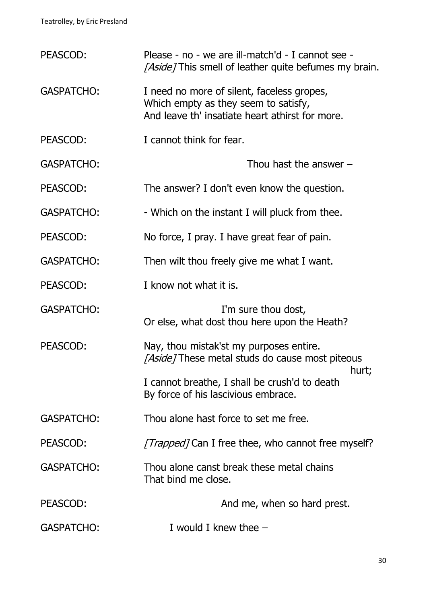| PEASCOD:          | Please - no - we are ill-match'd - I cannot see -<br>[Aside] This smell of leather quite befumes my brain.                            |
|-------------------|---------------------------------------------------------------------------------------------------------------------------------------|
| <b>GASPATCHO:</b> | I need no more of silent, faceless gropes,<br>Which empty as they seem to satisfy,<br>And leave th' insatiate heart athirst for more. |
| PEASCOD:          | I cannot think for fear.                                                                                                              |
| <b>GASPATCHO:</b> | Thou hast the answer $-$                                                                                                              |
| PEASCOD:          | The answer? I don't even know the question.                                                                                           |
| <b>GASPATCHO:</b> | - Which on the instant I will pluck from thee.                                                                                        |
| PEASCOD:          | No force, I pray. I have great fear of pain.                                                                                          |
| <b>GASPATCHO:</b> | Then wilt thou freely give me what I want.                                                                                            |
| PEASCOD:          | I know not what it is.                                                                                                                |
| <b>GASPATCHO:</b> | I'm sure thou dost,<br>Or else, what dost thou here upon the Heath?                                                                   |
| PEASCOD:          | Nay, thou mistak'st my purposes entire.<br>[Aside] These metal studs do cause most piteous                                            |
|                   | hurt;<br>I cannot breathe, I shall be crush'd to death<br>By force of his lascivious embrace.                                         |
| <b>GASPATCHO:</b> | Thou alone hast force to set me free.                                                                                                 |
| PEASCOD:          | <i>[Trapped]</i> Can I free thee, who cannot free myself?                                                                             |
| <b>GASPATCHO:</b> | Thou alone canst break these metal chains<br>That bind me close.                                                                      |
| PEASCOD:          | And me, when so hard prest.                                                                                                           |
| <b>GASPATCHO:</b> | I would I knew thee $-$                                                                                                               |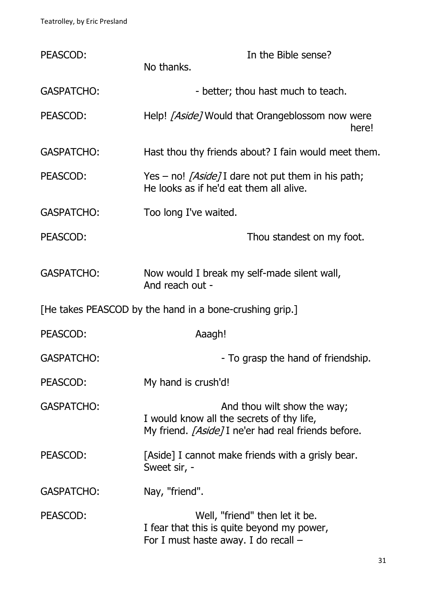| PEASCOD:                                                | In the Bible sense?<br>No thanks.                                                                                                      |  |
|---------------------------------------------------------|----------------------------------------------------------------------------------------------------------------------------------------|--|
| <b>GASPATCHO:</b>                                       | - better; thou hast much to teach.                                                                                                     |  |
| PEASCOD:                                                | Help! [Aside] Would that Orangeblossom now were<br>here!                                                                               |  |
| <b>GASPATCHO:</b>                                       | Hast thou thy friends about? I fain would meet them.                                                                                   |  |
| PEASCOD:                                                | Yes – no! [Aside] I dare not put them in his path;<br>He looks as if he'd eat them all alive.                                          |  |
| <b>GASPATCHO:</b>                                       | Too long I've waited.                                                                                                                  |  |
| PEASCOD:                                                | Thou standest on my foot.                                                                                                              |  |
| <b>GASPATCHO:</b>                                       | Now would I break my self-made silent wall,<br>And reach out -                                                                         |  |
| [He takes PEASCOD by the hand in a bone-crushing grip.] |                                                                                                                                        |  |
| PEASCOD:                                                | Aaagh!                                                                                                                                 |  |
| <b>GASPATCHO:</b>                                       | - To grasp the hand of friendship.                                                                                                     |  |
| PEASCOD:                                                | My hand is crush'd!                                                                                                                    |  |
| <b>GASPATCHO:</b>                                       | And thou wilt show the way;<br>I would know all the secrets of thy life,<br>My friend. <i>[Aside]</i> I ne'er had real friends before. |  |
| PEASCOD:                                                | [Aside] I cannot make friends with a grisly bear.<br>Sweet sir, -                                                                      |  |
| <b>GASPATCHO:</b>                                       | Nay, "friend".                                                                                                                         |  |
| PEASCOD:                                                | Well, "friend" then let it be.<br>I fear that this is quite beyond my power,<br>For I must haste away. I do recall -                   |  |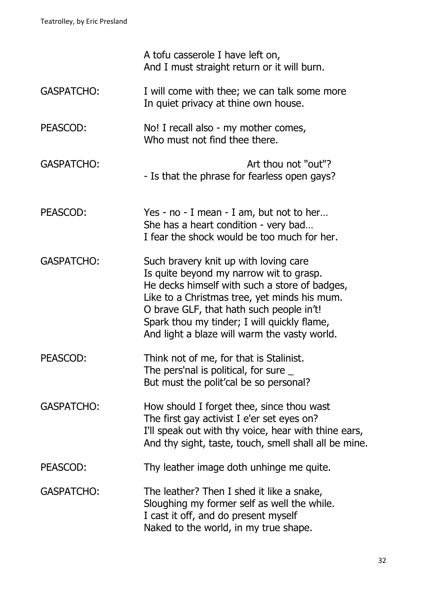|                   | A tofu casserole I have left on,<br>And I must straight return or it will burn.                                                                                                                                                                                                                                              |
|-------------------|------------------------------------------------------------------------------------------------------------------------------------------------------------------------------------------------------------------------------------------------------------------------------------------------------------------------------|
| <b>GASPATCHO:</b> | I will come with thee; we can talk some more<br>In quiet privacy at thine own house.                                                                                                                                                                                                                                         |
| PEASCOD:          | No! I recall also - my mother comes,<br>Who must not find thee there.                                                                                                                                                                                                                                                        |
| <b>GASPATCHO:</b> | Art thou not "out"?<br>- Is that the phrase for fearless open gays?                                                                                                                                                                                                                                                          |
| PEASCOD:          | Yes - no - I mean - I am, but not to her<br>She has a heart condition - very bad<br>I fear the shock would be too much for her.                                                                                                                                                                                              |
| <b>GASPATCHO:</b> | Such bravery knit up with loving care<br>Is quite beyond my narrow wit to grasp.<br>He decks himself with such a store of badges,<br>Like to a Christmas tree, yet minds his mum.<br>O brave GLF, that hath such people in't!<br>Spark thou my tinder; I will quickly flame,<br>And light a blaze will warm the vasty world. |
| PEASCOD:          | Think not of me, for that is Stalinist.<br>The pers'nal is political, for sure $\overline{\phantom{a}}$<br>But must the polit'cal be so personal?                                                                                                                                                                            |
| <b>GASPATCHO:</b> | How should I forget thee, since thou wast<br>The first gay activist I e'er set eyes on?<br>I'll speak out with thy voice, hear with thine ears,<br>And thy sight, taste, touch, smell shall all be mine.                                                                                                                     |
| PEASCOD:          | Thy leather image doth unhinge me quite.                                                                                                                                                                                                                                                                                     |
| <b>GASPATCHO:</b> | The leather? Then I shed it like a snake,<br>Sloughing my former self as well the while.<br>I cast it off, and do present myself<br>Naked to the world, in my true shape.                                                                                                                                                    |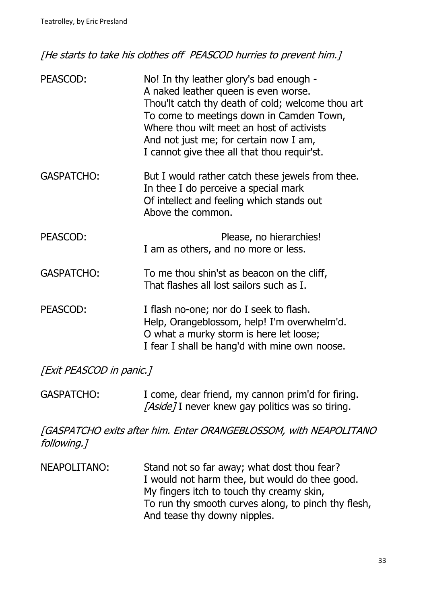[He starts to take his clothes off PEASCOD hurries to prevent him.]

| PEASCOD:          | No! In thy leather glory's bad enough -<br>A naked leather queen is even worse.<br>Thou'lt catch thy death of cold; welcome thou art<br>To come to meetings down in Camden Town,<br>Where thou wilt meet an host of activists<br>And not just me; for certain now I am,<br>I cannot give thee all that thou requir'st. |
|-------------------|------------------------------------------------------------------------------------------------------------------------------------------------------------------------------------------------------------------------------------------------------------------------------------------------------------------------|
| <b>GASPATCHO:</b> | But I would rather catch these jewels from thee.<br>In thee I do perceive a special mark<br>Of intellect and feeling which stands out<br>Above the common.                                                                                                                                                             |
| PEASCOD:          | Please, no hierarchies!<br>I am as others, and no more or less.                                                                                                                                                                                                                                                        |
| <b>GASPATCHO:</b> | To me thou shin'st as beacon on the cliff,<br>That flashes all lost sailors such as I.                                                                                                                                                                                                                                 |
| PEASCOD:          | I flash no-one; nor do I seek to flash.<br>Help, Orangeblossom, help! I'm overwhelm'd.<br>O what a murky storm is here let loose;<br>I fear I shall be hang'd with mine own noose.                                                                                                                                     |

[Exit PEASCOD in panic.]

GASPATCHO: I come, dear friend, my cannon prim'd for firing. [Aside] I never knew gay politics was so tiring.

[GASPATCHO exits after him. Enter ORANGEBLOSSOM, with NEAPOLITANO following.]

NEAPOLITANO: Stand not so far away; what dost thou fear? I would not harm thee, but would do thee good. My fingers itch to touch thy creamy skin, To run thy smooth curves along, to pinch thy flesh, And tease thy downy nipples.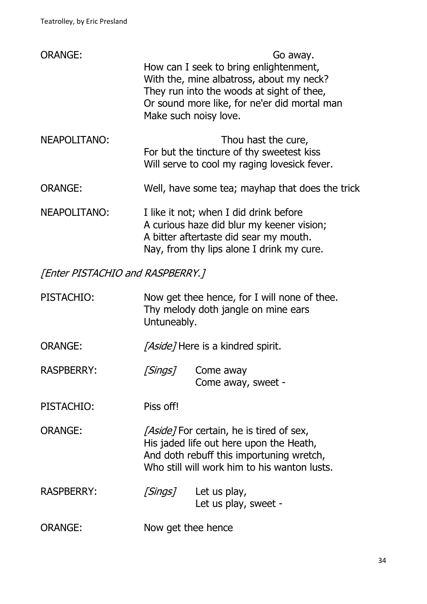| <b>ORANGE:</b>                          |                    | Go away.<br>How can I seek to bring enlightenment,<br>With the, mine albatross, about my neck?<br>They run into the woods at sight of thee,<br>Or sound more like, for ne'er did mortal man<br>Make such noisy love. |
|-----------------------------------------|--------------------|----------------------------------------------------------------------------------------------------------------------------------------------------------------------------------------------------------------------|
| NEAPOLITANO:                            |                    | Thou hast the cure,<br>For but the tincture of thy sweetest kiss<br>Will serve to cool my raging lovesick fever.                                                                                                     |
| <b>ORANGE:</b>                          |                    | Well, have some tea; mayhap that does the trick                                                                                                                                                                      |
| NEAPOLITANO:                            |                    | I like it not; when I did drink before<br>A curious haze did blur my keener vision;<br>A bitter aftertaste did sear my mouth.<br>Nay, from thy lips alone I drink my cure.                                           |
| <b>[Enter PISTACHIO and RASPBERRY.]</b> |                    |                                                                                                                                                                                                                      |
| PISTACHIO:                              | Untuneably.        | Now get thee hence, for I will none of thee.<br>Thy melody doth jangle on mine ears                                                                                                                                  |
| <b>ORANGE:</b>                          |                    | <i>[Aside]</i> Here is a kindred spirit.                                                                                                                                                                             |
| <b>RASPBERRY:</b>                       | [Sings]            | Come away<br>Come away, sweet -                                                                                                                                                                                      |
| PISTACHIO:                              | Piss off!          |                                                                                                                                                                                                                      |
| <b>ORANGE:</b>                          |                    | <i>[Aside]</i> For certain, he is tired of sex,<br>His jaded life out here upon the Heath,<br>And doth rebuff this importuning wretch,<br>Who still will work him to his wanton lusts.                               |
| <b>RASPBERRY:</b>                       | [Sings]            | Let us play,<br>Let us play, sweet -                                                                                                                                                                                 |
| <b>ORANGE:</b>                          | Now get thee hence |                                                                                                                                                                                                                      |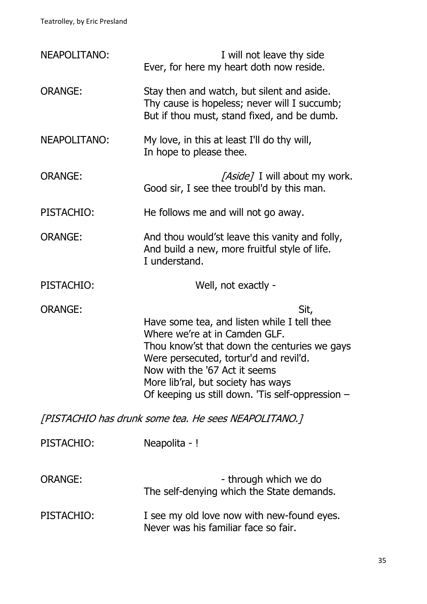| <b>NEAPOLITANO:</b> | I will not leave thy side<br>Ever, for here my heart doth now reside.                                                                                                                                                                                                                                     |
|---------------------|-----------------------------------------------------------------------------------------------------------------------------------------------------------------------------------------------------------------------------------------------------------------------------------------------------------|
| <b>ORANGE:</b>      | Stay then and watch, but silent and aside.<br>Thy cause is hopeless; never will I succumb;<br>But if thou must, stand fixed, and be dumb.                                                                                                                                                                 |
| NEAPOLITANO:        | My love, in this at least I'll do thy will,<br>In hope to please thee.                                                                                                                                                                                                                                    |
| <b>ORANGE:</b>      | [Aside] I will about my work.<br>Good sir, I see thee troubl'd by this man.                                                                                                                                                                                                                               |
| PISTACHIO:          | He follows me and will not go away.                                                                                                                                                                                                                                                                       |
| <b>ORANGE:</b>      | And thou would'st leave this vanity and folly,<br>And build a new, more fruitful style of life.<br>I understand.                                                                                                                                                                                          |
| PISTACHIO:          | Well, not exactly -                                                                                                                                                                                                                                                                                       |
|                     |                                                                                                                                                                                                                                                                                                           |
| <b>ORANGE:</b>      | Sit,<br>Have some tea, and listen while I tell thee<br>Where we're at in Camden GLF.<br>Thou know'st that down the centuries we gays<br>Were persecuted, tortur'd and revil'd.<br>Now with the '67 Act it seems<br>More lib'ral, but society has ways<br>Of keeping us still down. 'Tis self-oppression - |
|                     | [PISTACHIO has drunk some tea. He sees NEAPOLITANO.]                                                                                                                                                                                                                                                      |
| PISTACHIO:          | Neapolita - !                                                                                                                                                                                                                                                                                             |
| <b>ORANGE:</b>      | - through which we do<br>The self-denying which the State demands.                                                                                                                                                                                                                                        |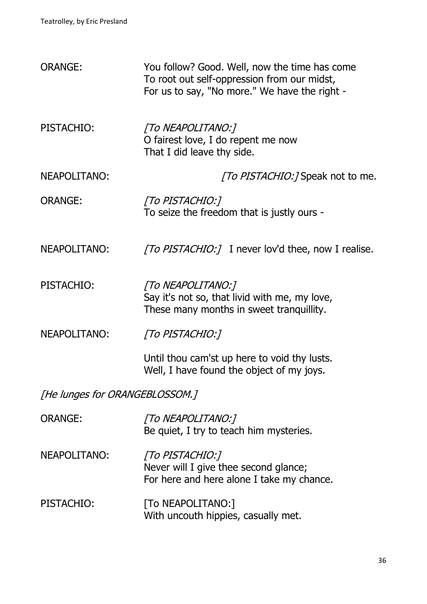| <b>ORANGE:</b>                 | You follow? Good. Well, now the time has come<br>To root out self-oppression from our midst,<br>For us to say, "No more." We have the right - |  |
|--------------------------------|-----------------------------------------------------------------------------------------------------------------------------------------------|--|
| PISTACHIO:                     | [To NEAPOLITANO:]<br>O fairest love, I do repent me now<br>That I did leave thy side.                                                         |  |
| NEAPOLITANO:                   | <i>[To PISTACHIO:]</i> Speak not to me.                                                                                                       |  |
| <b>ORANGE:</b>                 | [To PISTACHIO:]<br>To seize the freedom that is justly ours -                                                                                 |  |
| NEAPOLITANO:                   | <i>[To PISTACHIO:]</i> I never lov'd thee, now I realise.                                                                                     |  |
| PISTACHIO:                     | [To NEAPOLITANO:]<br>Say it's not so, that livid with me, my love,<br>These many months in sweet tranquillity.                                |  |
| NEAPOLITANO:                   | [To PISTACHIO:]                                                                                                                               |  |
|                                | Until thou cam'st up here to void thy lusts.<br>Well, I have found the object of my joys.                                                     |  |
| [He lunges for ORANGEBLOSSOM.] |                                                                                                                                               |  |
| <b>ORANGE:</b>                 | [To NEAPOLITANO:]<br>Be quiet, I try to teach him mysteries.                                                                                  |  |
| NEAPOLITANO:                   | [To PISTACHIO:]<br>Never will I give thee second glance;<br>For here and here alone I take my chance.                                         |  |
| PISTACHIO:                     | [To NEAPOLITANO:]<br>With uncouth hippies, casually met.                                                                                      |  |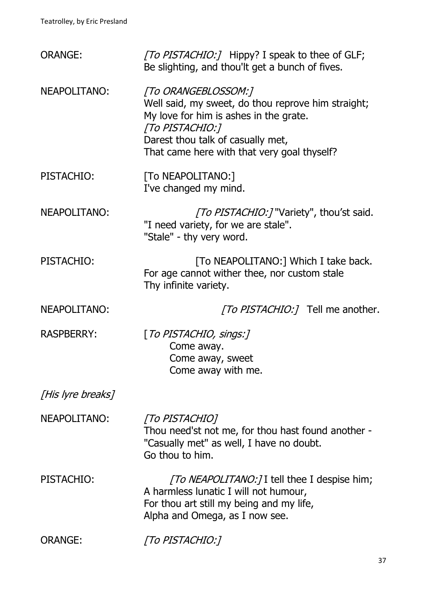| <b>ORANGE:</b>      | [To PISTACHIO:] Hippy? I speak to thee of GLF;<br>Be slighting, and thou'lt get a bunch of fives.                                                                                                                          |
|---------------------|----------------------------------------------------------------------------------------------------------------------------------------------------------------------------------------------------------------------------|
| NEAPOLITANO:        | [To ORANGEBLOSSOM:]<br>Well said, my sweet, do thou reprove him straight;<br>My love for him is ashes in the grate.<br>[To PISTACHIO:]<br>Darest thou talk of casually met,<br>That came here with that very goal thyself? |
| PISTACHIO:          | [To NEAPOLITANO:]<br>I've changed my mind.                                                                                                                                                                                 |
| <b>NEAPOLITANO:</b> | <i>[To PISTACHIO:]</i> "Variety", thou'st said.<br>"I need variety, for we are stale".<br>"Stale" - thy very word.                                                                                                         |
| PISTACHIO:          | [To NEAPOLITANO:] Which I take back.<br>For age cannot wither thee, nor custom stale<br>Thy infinite variety.                                                                                                              |
| <b>NEAPOLITANO:</b> | <i>[To PISTACHIO:]</i> Tell me another.                                                                                                                                                                                    |
|                     |                                                                                                                                                                                                                            |
| <b>RASPBERRY:</b>   | [To PISTACHIO, sings:]<br>Come away.<br>Come away, sweet<br>Come away with me.                                                                                                                                             |
| [His lyre breaks]   |                                                                                                                                                                                                                            |
| NEAPOLITANO:        | [To PISTACHIO]<br>Thou need'st not me, for thou hast found another -<br>"Casually met" as well, I have no doubt.<br>Go thou to him.                                                                                        |
| PISTACHIO:          | <i>[To NEAPOLITANO:]</i> I tell thee I despise him;<br>A harmless lunatic I will not humour,<br>For thou art still my being and my life,<br>Alpha and Omega, as I now see.                                                 |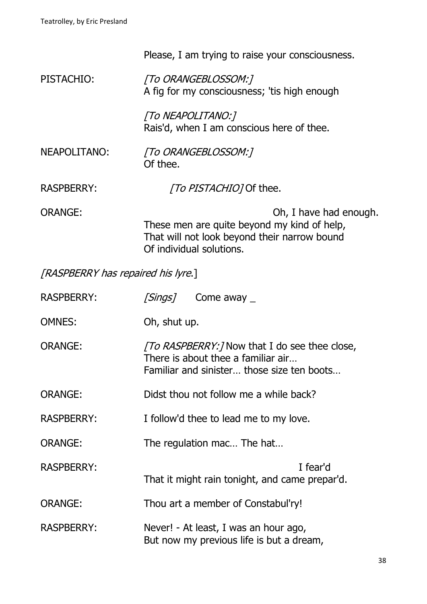|                                    | Please, I am trying to raise your consciousness.                                                                        |                        |
|------------------------------------|-------------------------------------------------------------------------------------------------------------------------|------------------------|
| PISTACHIO:                         | [To ORANGEBLOSSOM:]<br>A fig for my consciousness; 'tis high enough                                                     |                        |
|                                    | [To NEAPOLITANO:]<br>Rais'd, when I am conscious here of thee.                                                          |                        |
| NEAPOLITANO:                       | [To ORANGEBLOSSOM:]<br>Of thee.                                                                                         |                        |
| <b>RASPBERRY:</b>                  | [To PISTACHIO] Of thee.                                                                                                 |                        |
| <b>ORANGE:</b>                     | These men are quite beyond my kind of help,<br>That will not look beyond their narrow bound<br>Of individual solutions. | Oh, I have had enough. |
| [RASPBERRY has repaired his lyre.] |                                                                                                                         |                        |

| <b>RASPBERRY:</b> |              | <i>[Sings]</i> Come away _                                                                                                             |          |
|-------------------|--------------|----------------------------------------------------------------------------------------------------------------------------------------|----------|
| <b>OMNES:</b>     | Oh, shut up. |                                                                                                                                        |          |
| <b>ORANGE:</b>    |              | <i>TO RASPBERRY:</i> Now that I do see thee close,<br>There is about thee a familiar air<br>Familiar and sinister those size ten boots |          |
| <b>ORANGE:</b>    |              | Didst thou not follow me a while back?                                                                                                 |          |
| <b>RASPBERRY:</b> |              | I follow'd thee to lead me to my love.                                                                                                 |          |
| <b>ORANGE:</b>    |              | The regulation mac The hat                                                                                                             |          |
| <b>RASPBERRY:</b> |              | That it might rain tonight, and came prepar'd.                                                                                         | I fear'd |
| <b>ORANGE:</b>    |              | Thou art a member of Constabul'ry!                                                                                                     |          |
| <b>RASPBERRY:</b> |              | Never! - At least, I was an hour ago,<br>But now my previous life is but a dream,                                                      |          |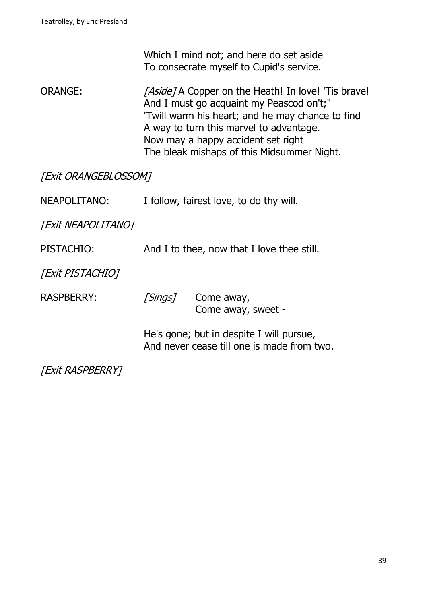Which I mind not; and here do set aside To consecrate myself to Cupid's service.

ORANGE: [Aside] A Copper on the Heath! In love! 'Tis brave! And I must go acquaint my Peascod on't;" 'Twill warm his heart; and he may chance to find A way to turn this marvel to advantage. Now may a happy accident set right The bleak mishaps of this Midsummer Night.

[Exit ORANGEBLOSSOM]

| NEAPOLITANO:              | I follow, fairest love, to do thy will.    |                                                                                        |
|---------------------------|--------------------------------------------|----------------------------------------------------------------------------------------|
| <b>[Exit NEAPOLITANO]</b> |                                            |                                                                                        |
| PISTACHIO:                | And I to thee, now that I love thee still. |                                                                                        |
| [Exit PISTACHIO]          |                                            |                                                                                        |
| <b>RASPBERRY:</b>         | [Sings]                                    | Come away,<br>Come away, sweet -                                                       |
|                           |                                            | He's gone; but in despite I will pursue,<br>And never cease till one is made from two. |

[Exit RASPBERRY]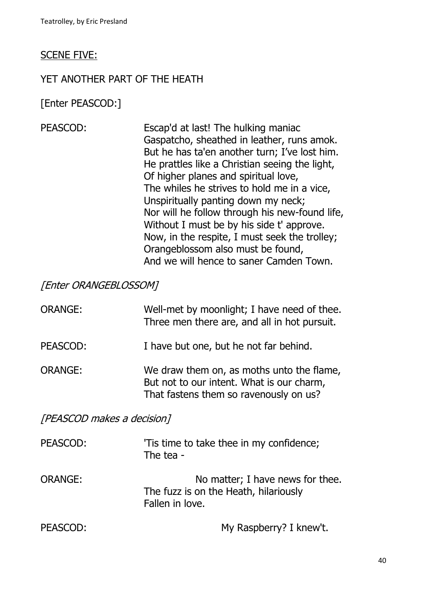#### SCENE FIVE:

#### YET ANOTHER PART OF THE HEATH

[Enter PEASCOD:]

PEASCOD: Escap'd at last! The hulking maniac Gaspatcho, sheathed in leather, runs amok. But he has ta'en another turn; I've lost him. He prattles like a Christian seeing the light, Of higher planes and spiritual love, The whiles he strives to hold me in a vice, Unspiritually panting down my neck; Nor will he follow through his new-found life, Without I must be by his side t' approve. Now, in the respite, I must seek the trolley; Orangeblossom also must be found, And we will hence to saner Camden Town.

#### [Enter ORANGEBLOSSOM]

| <b>ORANGE:</b> | Well-met by moonlight; I have need of thee.<br>Three men there are, and all in hot pursuit.                                      |
|----------------|----------------------------------------------------------------------------------------------------------------------------------|
| PEASCOD:       | I have but one, but he not far behind.                                                                                           |
| ORANGE:        | We draw them on, as moths unto the flame,<br>But not to our intent. What is our charm,<br>That fastens them so ravenously on us? |

[PEASCOD makes a decision]

| PEASCOD: | 'Tis time to take thee in my confidence;<br>The tea -                                        |
|----------|----------------------------------------------------------------------------------------------|
| ORANGE:  | No matter; I have news for thee.<br>The fuzz is on the Heath, hilariously<br>Fallen in love. |
| PEASCOD: | My Raspberry? I knew't.                                                                      |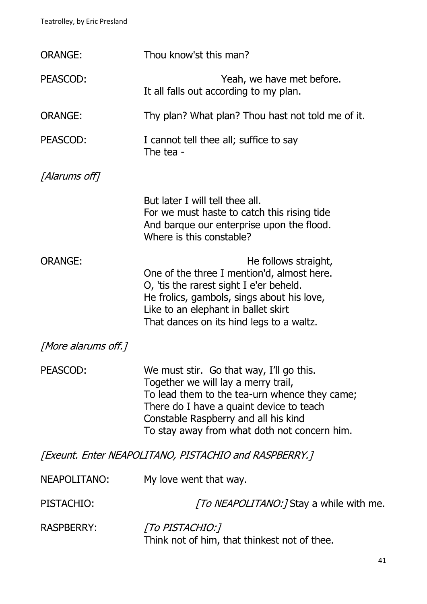| <b>ORANGE:</b>                                        | Thou know'st this man?                                                                                                                                                                                                                                               |  |
|-------------------------------------------------------|----------------------------------------------------------------------------------------------------------------------------------------------------------------------------------------------------------------------------------------------------------------------|--|
| PEASCOD:                                              | Yeah, we have met before.<br>It all falls out according to my plan.                                                                                                                                                                                                  |  |
| <b>ORANGE:</b>                                        | Thy plan? What plan? Thou hast not told me of it.                                                                                                                                                                                                                    |  |
| PEASCOD:                                              | I cannot tell thee all; suffice to say<br>The tea -                                                                                                                                                                                                                  |  |
| [Alarums off]                                         |                                                                                                                                                                                                                                                                      |  |
|                                                       | But later I will tell thee all.<br>For we must haste to catch this rising tide<br>And barque our enterprise upon the flood.<br>Where is this constable?                                                                                                              |  |
| <b>ORANGE:</b>                                        | He follows straight,<br>One of the three I mention'd, almost here.<br>O, 'tis the rarest sight I e'er beheld.<br>He frolics, gambols, sings about his love,<br>Like to an elephant in ballet skirt<br>That dances on its hind legs to a waltz.                       |  |
| [More alarums off.]                                   |                                                                                                                                                                                                                                                                      |  |
| PEASCOD:                                              | We must stir. Go that way, I'll go this.<br>Together we will lay a merry trail,<br>To lead them to the tea-urn whence they came;<br>There do I have a quaint device to teach<br>Constable Raspberry and all his kind<br>To stay away from what doth not concern him. |  |
| [Exeunt. Enter NEAPOLITANO, PISTACHIO and RASPBERRY.] |                                                                                                                                                                                                                                                                      |  |
| NEAPOLITANO:                                          | My love went that way.                                                                                                                                                                                                                                               |  |
| PISTACHIO:                                            | <i>[To NEAPOLITANO:]</i> Stay a while with me.                                                                                                                                                                                                                       |  |
| <b>RASPBERRY:</b>                                     | [To PISTACHIO:]<br>Think not of him, that thinkest not of thee.                                                                                                                                                                                                      |  |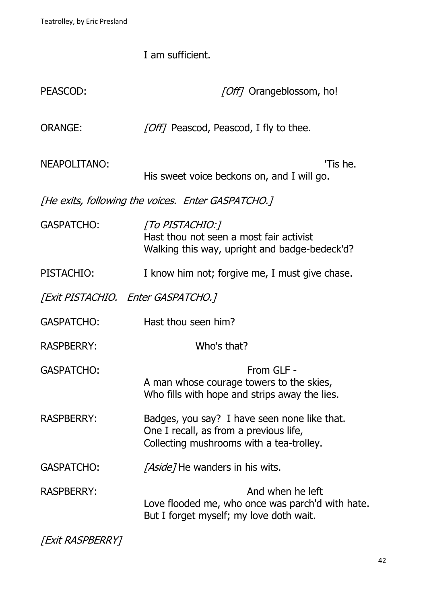I am sufficient.

| PEASCOD:                           | [Off] Orangeblossom, ho!                                                                                                           |
|------------------------------------|------------------------------------------------------------------------------------------------------------------------------------|
| <b>ORANGE:</b>                     | [Off] Peascod, Peascod, I fly to thee.                                                                                             |
| <b>NEAPOLITANO:</b>                | 'Tis he.<br>His sweet voice beckons on, and I will go.                                                                             |
|                                    | [He exits, following the voices. Enter GASPATCHO.]                                                                                 |
| <b>GASPATCHO:</b>                  | [To PISTACHIO:]<br>Hast thou not seen a most fair activist<br>Walking this way, upright and badge-bedeck'd?                        |
| PISTACHIO:                         | I know him not; forgive me, I must give chase.                                                                                     |
| [Exit PISTACHIO. Enter GASPATCHO.] |                                                                                                                                    |
| <b>GASPATCHO:</b>                  | Hast thou seen him?                                                                                                                |
| <b>RASPBERRY:</b>                  | Who's that?                                                                                                                        |
| <b>GASPATCHO:</b>                  | From GLF -<br>A man whose courage towers to the skies,<br>Who fills with hope and strips away the lies.                            |
| <b>RASPBERRY:</b>                  | Badges, you say? I have seen none like that.<br>One I recall, as from a previous life,<br>Collecting mushrooms with a tea-trolley. |
| <b>GASPATCHO:</b>                  | <i>[Aside]</i> He wanders in his wits.                                                                                             |
| <b>RASPBERRY:</b>                  | And when he left<br>Love flooded me, who once was parch'd with hate.<br>But I forget myself; my love doth wait.                    |

[Exit RASPBERRY]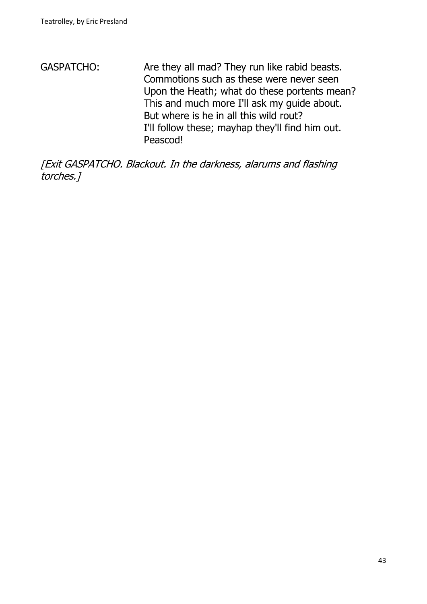GASPATCHO: Are they all mad? They run like rabid beasts. Commotions such as these were never seen Upon the Heath; what do these portents mean? This and much more I'll ask my guide about. But where is he in all this wild rout? I'll follow these; mayhap they'll find him out. Peascod!

[Exit GASPATCHO. Blackout. In the darkness, alarums and flashing torches.]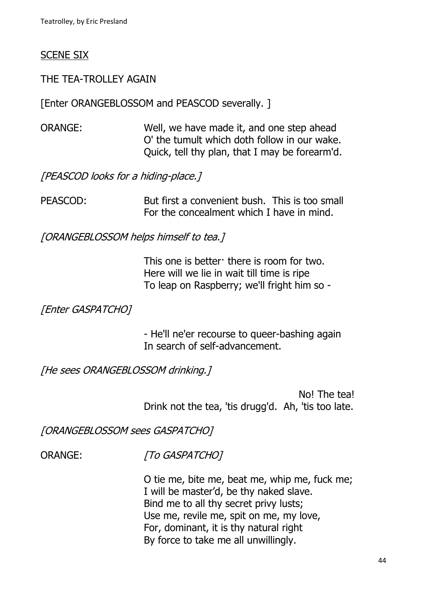#### SCENE SIX

#### THE TEA-TROLLEY AGAIN

[Enter ORANGEBLOSSOM and PEASCOD severally. ]

ORANGE: Well, we have made it, and one step ahead O' the tumult which doth follow in our wake. Quick, tell thy plan, that I may be forearm'd.

[PEASCOD looks for a hiding-place.]

PEASCOD: But first a convenient bush. This is too small For the concealment which I have in mind.

[ORANGEBLOSSOM helps himself to tea.]

This one is better there is room for two. Here will we lie in wait till time is ripe To leap on Raspberry; we'll fright him so -

#### [Enter GASPATCHO]

- He'll ne'er recourse to queer-bashing again In search of self-advancement.

[He sees ORANGEBLOSSOM drinking.]

No! The tea! Drink not the tea, 'tis drugg'd. Ah, 'tis too late.

[ORANGEBLOSSOM sees GASPATCHO]

ORANGE: [To GASPATCHO]

O tie me, bite me, beat me, whip me, fuck me; I will be master'd, be thy naked slave. Bind me to all thy secret privy lusts; Use me, revile me, spit on me, my love, For, dominant, it is thy natural right By force to take me all unwillingly.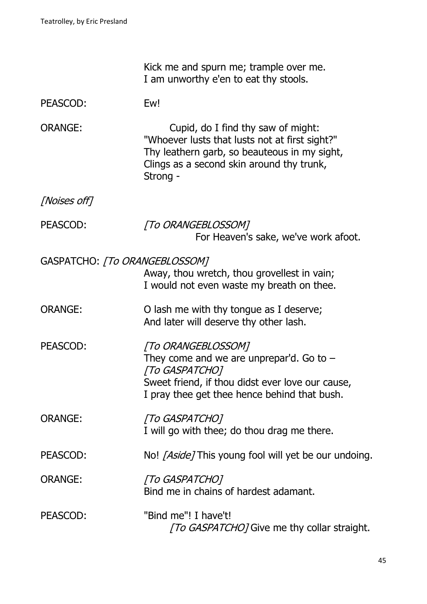|                               | Kick me and spurn me; trample over me.<br>I am unworthy e'en to eat thy stools.                                                                                                               |
|-------------------------------|-----------------------------------------------------------------------------------------------------------------------------------------------------------------------------------------------|
| PEASCOD:                      | Ew!                                                                                                                                                                                           |
| <b>ORANGE:</b>                | Cupid, do I find thy saw of might:<br>"Whoever lusts that lusts not at first sight?"<br>Thy leathern garb, so beauteous in my sight,<br>Clings as a second skin around thy trunk,<br>Strong - |
| [Noises off]                  |                                                                                                                                                                                               |
| PEASCOD:                      | [To ORANGEBLOSSOM]<br>For Heaven's sake, we've work afoot.                                                                                                                                    |
| GASPATCHO: [To ORANGEBLOSSOM] | Away, thou wretch, thou grovellest in vain;<br>I would not even waste my breath on thee.                                                                                                      |
| <b>ORANGE:</b>                | O lash me with thy tongue as I deserve;<br>And later will deserve thy other lash.                                                                                                             |
| PEASCOD:                      | [To ORANGEBLOSSOM]<br>They come and we are unprepar'd. Go to $-$<br>[To GASPATCHO]<br>Sweet friend, if thou didst ever love our cause,<br>I pray thee get thee hence behind that bush.        |
| <b>ORANGE:</b>                | [To GASPATCHO]<br>I will go with thee; do thou drag me there.                                                                                                                                 |
| PEASCOD:                      | No! <i>[Aside]</i> This young fool will yet be our undoing.                                                                                                                                   |
| <b>ORANGE:</b>                | [To GASPATCHO]<br>Bind me in chains of hardest adamant.                                                                                                                                       |
| PEASCOD:                      | "Bind me"! I have't!<br>[To GASPATCHO] Give me thy collar straight.                                                                                                                           |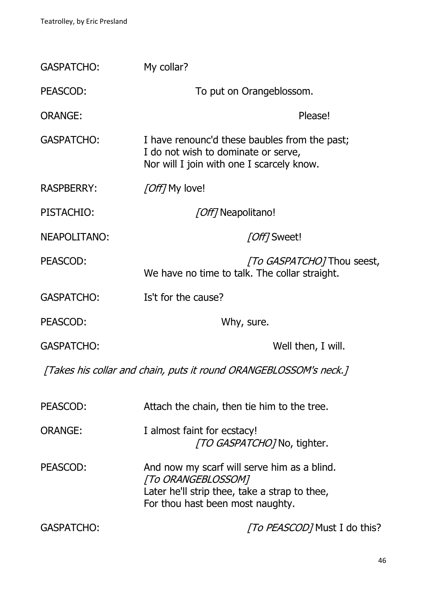| <b>GASPATCHO:</b>                                                 | My collar?                                                                                                                                             |  |
|-------------------------------------------------------------------|--------------------------------------------------------------------------------------------------------------------------------------------------------|--|
| PEASCOD:                                                          | To put on Orangeblossom.                                                                                                                               |  |
| <b>ORANGE:</b>                                                    | Please!                                                                                                                                                |  |
| <b>GASPATCHO:</b>                                                 | I have renounc'd these baubles from the past;<br>I do not wish to dominate or serve,<br>Nor will I join with one I scarcely know.                      |  |
| <b>RASPBERRY:</b>                                                 | <i>[Off]</i> My love!                                                                                                                                  |  |
| PISTACHIO:                                                        | [Off] Neapolitano!                                                                                                                                     |  |
| <b>NEAPOLITANO:</b>                                               | [Off] Sweet!                                                                                                                                           |  |
| PEASCOD:                                                          | <i>To GASPATCHOT</i> Thou seest,<br>We have no time to talk. The collar straight.                                                                      |  |
| <b>GASPATCHO:</b>                                                 | Is't for the cause?                                                                                                                                    |  |
| PEASCOD:                                                          | Why, sure.                                                                                                                                             |  |
| <b>GASPATCHO:</b>                                                 | Well then, I will.                                                                                                                                     |  |
| [Takes his collar and chain, puts it round ORANGEBLOSSOM's neck.] |                                                                                                                                                        |  |
| PEASCOD:                                                          | Attach the chain, then tie him to the tree.                                                                                                            |  |
| <b>ORANGE:</b>                                                    | I almost faint for ecstacy!<br><i>TO GASPATCHOT</i> No, tighter.                                                                                       |  |
| PEASCOD:                                                          | And now my scarf will serve him as a blind.<br>[To ORANGEBLOSSOM]<br>Later he'll strip thee, take a strap to thee,<br>For thou hast been most naughty. |  |
| <b>GASPATCHO:</b>                                                 | <i>[To PEASCOD]</i> Must I do this?                                                                                                                    |  |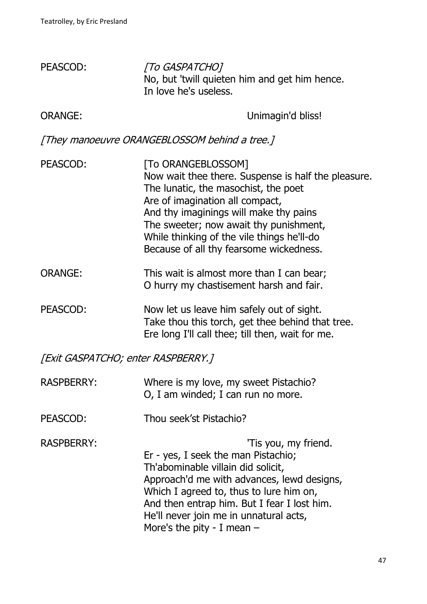| PEASCOD:       | [To GASPATCHO]<br>No, but 'twill quieten him and get him hence.<br>In love he's useless.                                                                                                                                                                                                                                          |
|----------------|-----------------------------------------------------------------------------------------------------------------------------------------------------------------------------------------------------------------------------------------------------------------------------------------------------------------------------------|
| <b>ORANGE:</b> | Unimagin'd bliss!                                                                                                                                                                                                                                                                                                                 |
|                | [They manoeuvre ORANGEBLOSSOM behind a tree.]                                                                                                                                                                                                                                                                                     |
| PEASCOD:       | [To ORANGEBLOSSOM]<br>Now wait thee there. Suspense is half the pleasure.<br>The lunatic, the masochist, the poet<br>Are of imagination all compact,<br>And thy imaginings will make thy pains<br>The sweeter; now await thy punishment,<br>While thinking of the vile things he'll-do<br>Because of all thy fearsome wickedness. |
| <b>ORANGE:</b> | This wait is almost more than I can bear;<br>O hurry my chastisement harsh and fair.                                                                                                                                                                                                                                              |
| PEASCOD:       | Now let us leave him safely out of sight.<br>Take thou this torch, get thee behind that tree.                                                                                                                                                                                                                                     |

[Exit GASPATCHO; enter RASPBERRY.]

| <b>RASPBERRY:</b> | Where is my love, my sweet Pistachio?<br>O, I am winded; I can run no more.                                                                                                                                                                                                                                         |
|-------------------|---------------------------------------------------------------------------------------------------------------------------------------------------------------------------------------------------------------------------------------------------------------------------------------------------------------------|
| PEASCOD:          | Thou seek'st Pistachio?                                                                                                                                                                                                                                                                                             |
| <b>RASPBERRY:</b> | 'Tis you, my friend.<br>Er - yes, I seek the man Pistachio;<br>Th'abominable villain did solicit,<br>Approach'd me with advances, lewd designs,<br>Which I agreed to, thus to lure him on,<br>And then entrap him. But I fear I lost him.<br>He'll never join me in unnatural acts,<br>More's the pity - I mean $-$ |

Ere long I'll call thee; till then, wait for me.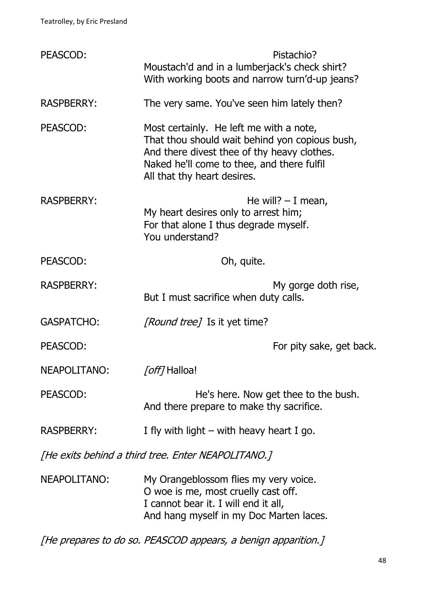| PEASCOD:                                           | Pistachio?<br>Moustach'd and in a lumberjack's check shirt?<br>With working boots and narrow turn'd-up jeans?                                                                                                         |
|----------------------------------------------------|-----------------------------------------------------------------------------------------------------------------------------------------------------------------------------------------------------------------------|
| <b>RASPBERRY:</b>                                  | The very same. You've seen him lately then?                                                                                                                                                                           |
| PEASCOD:                                           | Most certainly. He left me with a note,<br>That thou should wait behind yon copious bush,<br>And there divest thee of thy heavy clothes.<br>Naked he'll come to thee, and there fulfil<br>All that thy heart desires. |
| <b>RASPBERRY:</b>                                  | He will? $- I$ mean,<br>My heart desires only to arrest him;<br>For that alone I thus degrade myself.<br>You understand?                                                                                              |
| PEASCOD:                                           | Oh, quite.                                                                                                                                                                                                            |
| <b>RASPBERRY:</b>                                  | My gorge doth rise,<br>But I must sacrifice when duty calls.                                                                                                                                                          |
| <b>GASPATCHO:</b>                                  | <i>[Round tree]</i> Is it yet time?                                                                                                                                                                                   |
| PEASCOD:                                           | For pity sake, get back.                                                                                                                                                                                              |
| NEAPOLITANO:                                       | <i>[off]</i> Halloa!                                                                                                                                                                                                  |
| PEASCOD:                                           | He's here. Now get thee to the bush.<br>And there prepare to make thy sacrifice.                                                                                                                                      |
| <b>RASPBERRY:</b>                                  | I fly with light $-$ with heavy heart I go.                                                                                                                                                                           |
| [He exits behind a third tree. Enter NEAPOLITANO.] |                                                                                                                                                                                                                       |
| NEAPOLITANO:                                       | My Orangeblossom flies my very voice.<br>O woe is me, most cruelly cast off.<br>I cannot bear it. I will end it all,<br>And hang myself in my Doc Marten laces.                                                       |

[He prepares to do so. PEASCOD appears, a benign apparition.]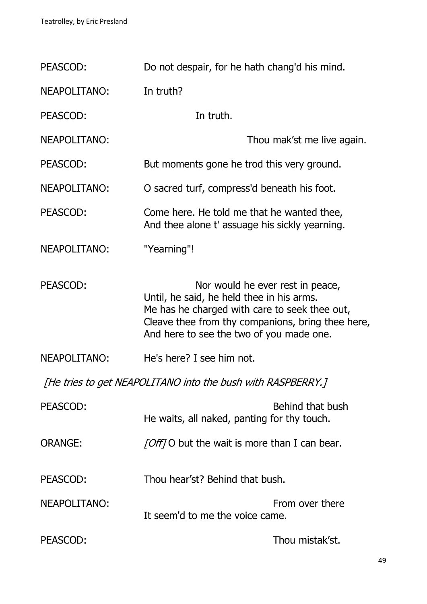| PEASCOD:                                                    | Do not despair, for he hath chang'd his mind.                                                                                                                                                                                   |  |
|-------------------------------------------------------------|---------------------------------------------------------------------------------------------------------------------------------------------------------------------------------------------------------------------------------|--|
| <b>NEAPOLITANO:</b>                                         | In truth?                                                                                                                                                                                                                       |  |
| PEASCOD:                                                    | In truth.                                                                                                                                                                                                                       |  |
| <b>NEAPOLITANO:</b>                                         | Thou mak'st me live again.                                                                                                                                                                                                      |  |
| PEASCOD:                                                    | But moments gone he trod this very ground.                                                                                                                                                                                      |  |
| <b>NEAPOLITANO:</b>                                         | O sacred turf, compress'd beneath his foot.                                                                                                                                                                                     |  |
| PEASCOD:                                                    | Come here. He told me that he wanted thee,<br>And thee alone t' assuage his sickly yearning.                                                                                                                                    |  |
| <b>NEAPOLITANO:</b>                                         | "Yearning"!                                                                                                                                                                                                                     |  |
| PEASCOD:                                                    | Nor would he ever rest in peace,<br>Until, he said, he held thee in his arms.<br>Me has he charged with care to seek thee out,<br>Cleave thee from thy companions, bring thee here,<br>And here to see the two of you made one. |  |
| <b>NEAPOLITANO:</b>                                         | He's here? I see him not.                                                                                                                                                                                                       |  |
| [He tries to get NEAPOLITANO into the bush with RASPBERRY.] |                                                                                                                                                                                                                                 |  |
| PEASCOD:                                                    | Behind that bush<br>He waits, all naked, panting for thy touch.                                                                                                                                                                 |  |
| <b>ORANGE:</b>                                              | [Off] O but the wait is more than I can bear.                                                                                                                                                                                   |  |
| PEASCOD:                                                    | Thou hear'st? Behind that bush.                                                                                                                                                                                                 |  |
| NEAPOLITANO:                                                | From over there<br>It seem'd to me the voice came.                                                                                                                                                                              |  |
| PEASCOD:                                                    | Thou mistak'st.                                                                                                                                                                                                                 |  |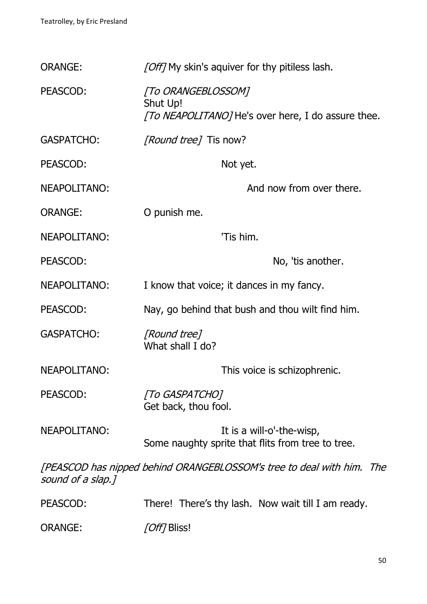| <b>ORANGE:</b>      | [Off] My skin's aquiver for thy pitiless lash.                                       |
|---------------------|--------------------------------------------------------------------------------------|
| PEASCOD:            | [To ORANGEBLOSSOM]<br>Shut Up!<br>[To NEAPOLITANO] He's over here, I do assure thee. |
| <b>GASPATCHO:</b>   | <i>[Round tree]</i> Tis now?                                                         |
| PEASCOD:            | Not yet.                                                                             |
| NEAPOLITANO:        | And now from over there.                                                             |
| <b>ORANGE:</b>      | O punish me.                                                                         |
| <b>NEAPOLITANO:</b> | 'Tis him.                                                                            |
| PEASCOD:            | No, 'tis another.                                                                    |
| NEAPOLITANO:        | I know that voice; it dances in my fancy.                                            |
| PEASCOD:            | Nay, go behind that bush and thou wilt find him.                                     |
| <b>GASPATCHO:</b>   | [Round tree]<br>What shall I do?                                                     |
| NEAPOLITANO:        | This voice is schizophrenic.                                                         |
| PEASCOD:            | [To GASPATCHO]<br>Get back, thou fool.                                               |
| NEAPOLITANO:        | It is a will-o'-the-wisp,<br>Some naughty sprite that flits from tree to tree.       |
| sound of a slap.]   | [PEASCOD has nipped behind ORANGEBLOSSOM's tree to deal with him. The                |
| PEASCOD:            | There! There's thy lash. Now wait till I am ready.                                   |
| <b>ORANGE:</b>      | [Off] Bliss!                                                                         |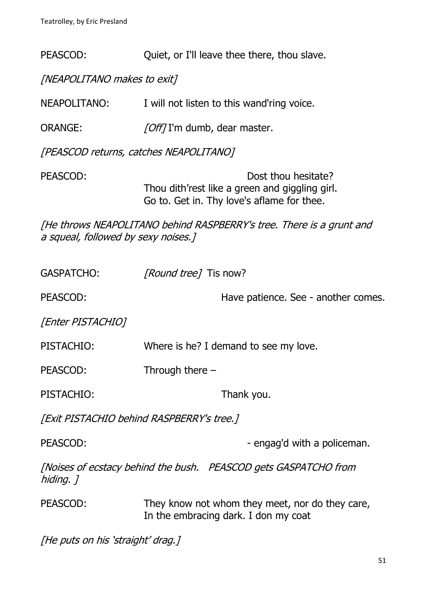PEASCOD: Quiet, or I'll leave thee there, thou slave.

[NEAPOLITANO makes to exit]

NEAPOLITANO: I will not listen to this wand'ring voice.

ORANGE: [Off] I'm dumb, dear master.

[PEASCOD returns, catches NEAPOLITANO]

PEASCOD: Dost thou hesitate? Thou dith'rest like a green and giggling girl. Go to. Get in. Thy love's aflame for thee.

[He throws NEAPOLITANO behind RASPBERRY's tree. There is a grunt and a squeal, followed by sexy noises.]

| <b>GASPATCHO:</b>                                                            | [Round tree] Tis now?                                                                   |  |
|------------------------------------------------------------------------------|-----------------------------------------------------------------------------------------|--|
| PEASCOD:                                                                     | Have patience. See - another comes.                                                     |  |
| [Enter PISTACHIO]                                                            |                                                                                         |  |
| PISTACHIO:                                                                   | Where is he? I demand to see my love.                                                   |  |
| PEASCOD:                                                                     | Through there $-$                                                                       |  |
| PISTACHIO:                                                                   | Thank you.                                                                              |  |
| [Exit PISTACHIO behind RASPBERRY's tree.]                                    |                                                                                         |  |
| PEASCOD:                                                                     | - engag'd with a policeman.                                                             |  |
| [Noises of ecstacy behind the bush. PEASCOD gets GASPATCHO from<br>hiding. 1 |                                                                                         |  |
| PEASCOD:                                                                     | They know not whom they meet, nor do they care,<br>In the embracing dark. I don my coat |  |
| File and car his letter in the state of T                                    |                                                                                         |  |

[He puts on his 'straight' drag.]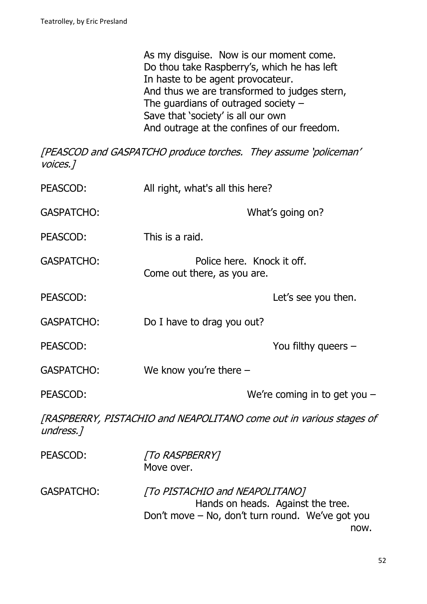As my disguise. Now is our moment come. Do thou take Raspberry's, which he has left In haste to be agent provocateur. And thus we are transformed to judges stern, The guardians of outraged society  $-$ Save that 'society' is all our own And outrage at the confines of our freedom.

[PEASCOD and GASPATCHO produce torches. They assume 'policeman' voices.]

| PEASCOD:          | All right, what's all this here?                                                   |                                           |
|-------------------|------------------------------------------------------------------------------------|-------------------------------------------|
| <b>GASPATCHO:</b> |                                                                                    | What's going on?                          |
| PEASCOD:          | This is a raid.                                                                    |                                           |
| <b>GASPATCHO:</b> | Police here. Knock it off.<br>Come out there, as you are.                          |                                           |
| PEASCOD:          |                                                                                    | Let's see you then.                       |
| <b>GASPATCHO:</b> | Do I have to drag you out?                                                         |                                           |
| PEASCOD:          |                                                                                    | You filthy queers $-$                     |
| <b>GASPATCHO:</b> | We know you're there $-$                                                           |                                           |
| PEASCOD:          |                                                                                    | We're coming in to get you $-$            |
| undress.1         | [RASPBERRY, PISTACHIO and NEAPOLITANO come out in various stages of                |                                           |
| PEASCOD:          | <b>TO RASPBERRY1</b><br>Move over.                                                 |                                           |
| <b>GASPATCHO:</b> | [To PISTACHIO and NEAPOLITANO]<br>Don't move - No, don't turn round. We've got you | Hands on heads. Against the tree.<br>now. |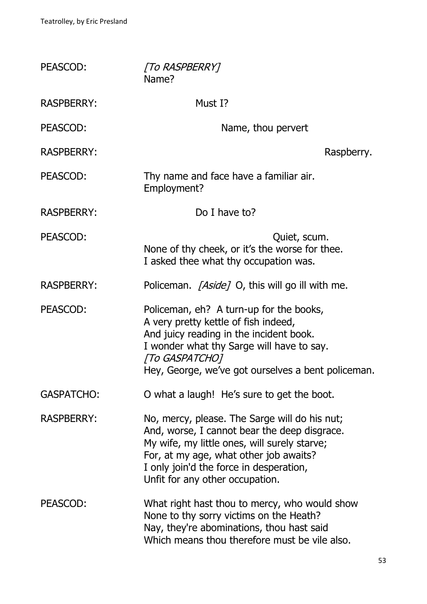| PEASCOD:          | [To RASPBERRY]<br>Name?                                                                                                                                                                                                                                               |
|-------------------|-----------------------------------------------------------------------------------------------------------------------------------------------------------------------------------------------------------------------------------------------------------------------|
| <b>RASPBERRY:</b> | Must I?                                                                                                                                                                                                                                                               |
| PEASCOD:          | Name, thou pervert                                                                                                                                                                                                                                                    |
| <b>RASPBERRY:</b> | Raspberry.                                                                                                                                                                                                                                                            |
| PEASCOD:          | Thy name and face have a familiar air.<br>Employment?                                                                                                                                                                                                                 |
| <b>RASPBERRY:</b> | Do I have to?                                                                                                                                                                                                                                                         |
| PEASCOD:          | Quiet, scum.<br>None of thy cheek, or it's the worse for thee.<br>I asked thee what thy occupation was.                                                                                                                                                               |
| <b>RASPBERRY:</b> | Policeman. <i>[Aside]</i> O, this will go ill with me.                                                                                                                                                                                                                |
| PEASCOD:          | Policeman, eh? A turn-up for the books,<br>A very pretty kettle of fish indeed,<br>And juicy reading in the incident book.<br>I wonder what thy Sarge will have to say.<br>[To GASPATCHO]<br>Hey, George, we've got ourselves a bent policeman.                       |
| <b>GASPATCHO:</b> | O what a laugh! He's sure to get the boot.                                                                                                                                                                                                                            |
| <b>RASPBERRY:</b> | No, mercy, please. The Sarge will do his nut;<br>And, worse, I cannot bear the deep disgrace.<br>My wife, my little ones, will surely starve;<br>For, at my age, what other job awaits?<br>I only join'd the force in desperation,<br>Unfit for any other occupation. |
| PEASCOD:          | What right hast thou to mercy, who would show<br>None to thy sorry victims on the Heath?<br>Nay, they're abominations, thou hast said<br>Which means thou therefore must be vile also.                                                                                |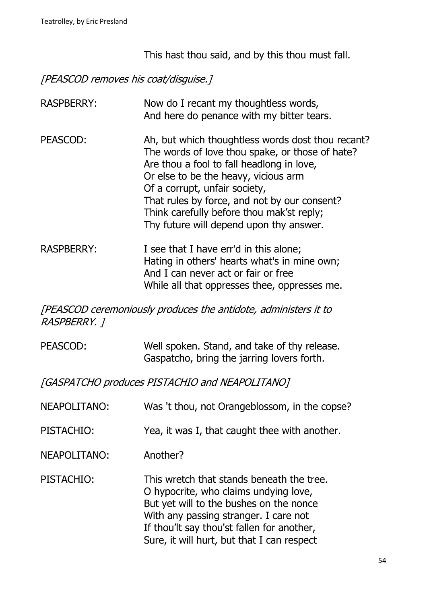This hast thou said, and by this thou must fall.

# [PEASCOD removes his coat/disguise.]

| <b>RASPBERRY:</b> | Now do I recant my thoughtless words,<br>And here do penance with my bitter tears.                                                                                                                                                                                                                                                                                 |
|-------------------|--------------------------------------------------------------------------------------------------------------------------------------------------------------------------------------------------------------------------------------------------------------------------------------------------------------------------------------------------------------------|
| PEASCOD:          | Ah, but which thoughtless words dost thou recant?<br>The words of love thou spake, or those of hate?<br>Are thou a fool to fall headlong in love,<br>Or else to be the heavy, vicious arm<br>Of a corrupt, unfair society,<br>That rules by force, and not by our consent?<br>Think carefully before thou mak'st reply;<br>Thy future will depend upon thy answer. |
| <b>RASPBERRY:</b> | I see that I have err'd in this alone;<br>Hating in others' hearts what's in mine own;<br>And I can never act or fair or free<br>While all that oppresses thee, oppresses me.                                                                                                                                                                                      |

[PEASCOD ceremoniously produces the antidote, administers it to RASPBERRY. ]

| PEASCOD: | Well spoken. Stand, and take of thy release. |
|----------|----------------------------------------------|
|          | Gaspatcho, bring the jarring lovers forth.   |

[GASPATCHO produces PISTACHIO and NEAPOLITANO]

| NEAPOLITANO: | Was 't thou, not Orangeblossom, in the copse?                                                                                                                                                                                                                      |
|--------------|--------------------------------------------------------------------------------------------------------------------------------------------------------------------------------------------------------------------------------------------------------------------|
| PISTACHIO:   | Yea, it was I, that caught thee with another.                                                                                                                                                                                                                      |
| NEAPOLITANO: | Another?                                                                                                                                                                                                                                                           |
| PISTACHIO:   | This wretch that stands beneath the tree.<br>O hypocrite, who claims undying love,<br>But yet will to the bushes on the nonce<br>With any passing stranger. I care not<br>If thou'lt say thou'st fallen for another,<br>Sure, it will hurt, but that I can respect |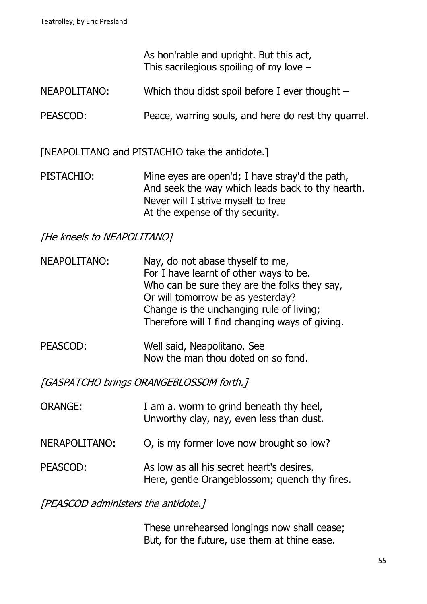As hon'rable and upright. But this act, This sacrilegious spoiling of my love  $-$ 

- NEAPOLITANO: Which thou didst spoil before I ever thought –
- PEASCOD: Peace, warring souls, and here do rest thy quarrel.

[NEAPOLITANO and PISTACHIO take the antidote.]

PISTACHIO: Mine eyes are open'd; I have stray'd the path, And seek the way which leads back to thy hearth. Never will I strive myself to free At the expense of thy security.

[He kneels to NEAPOLITANO]

- NEAPOLITANO: Nay, do not abase thyself to me, For I have learnt of other ways to be. Who can be sure they are the folks they say, Or will tomorrow be as yesterday? Change is the unchanging rule of living; Therefore will I find changing ways of giving.
- PEASCOD: Well said, Neapolitano. See Now the man thou doted on so fond.

[GASPATCHO brings ORANGEBLOSSOM forth.]

| <b>ORANGE:</b> | I am a. worm to grind beneath thy heel,<br>Unworthy clay, nay, even less than dust.        |
|----------------|--------------------------------------------------------------------------------------------|
| NERAPOLITANO:  | O, is my former love now brought so low?                                                   |
| PEASCOD:       | As low as all his secret heart's desires.<br>Here, gentle Orangeblossom; quench thy fires. |

[PEASCOD administers the antidote.]

These unrehearsed longings now shall cease; But, for the future, use them at thine ease.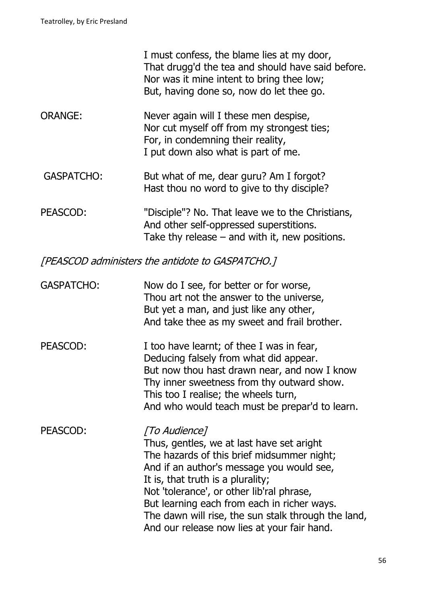I must confess, the blame lies at my door, That drugg'd the tea and should have said before. Nor was it mine intent to bring thee low; But, having done so, now do let thee go.

- ORANGE: Never again will I these men despise, Nor cut myself off from my strongest ties; For, in condemning their reality, I put down also what is part of me.
- GASPATCHO: But what of me, dear guru? Am I forgot? Hast thou no word to give to thy disciple?

PEASCOD: "Disciple"? No. That leave we to the Christians, And other self-oppressed superstitions. Take thy release  $-$  and with it, new positions.

[PEASCOD administers the antidote to GASPATCHO.]

| <b>GASPATCHO:</b> | Now do I see, for better or for worse,<br>Thou art not the answer to the universe,<br>But yet a man, and just like any other,<br>And take thee as my sweet and frail brother.                                                                                               |
|-------------------|-----------------------------------------------------------------------------------------------------------------------------------------------------------------------------------------------------------------------------------------------------------------------------|
| PEASCOD:          | I too have learnt; of thee I was in fear,<br>Deducing falsely from what did appear.<br>But now thou hast drawn near, and now I know<br>Thy inner sweetness from thy outward show.<br>This too I realise; the wheels turn,<br>And who would teach must be prepar'd to learn. |

PEASCOD: [To Audience] Thus, gentles, we at last have set aright The hazards of this brief midsummer night; And if an author's message you would see, It is, that truth is a plurality; Not 'tolerance', or other lib'ral phrase, But learning each from each in richer ways. The dawn will rise, the sun stalk through the land, And our release now lies at your fair hand.